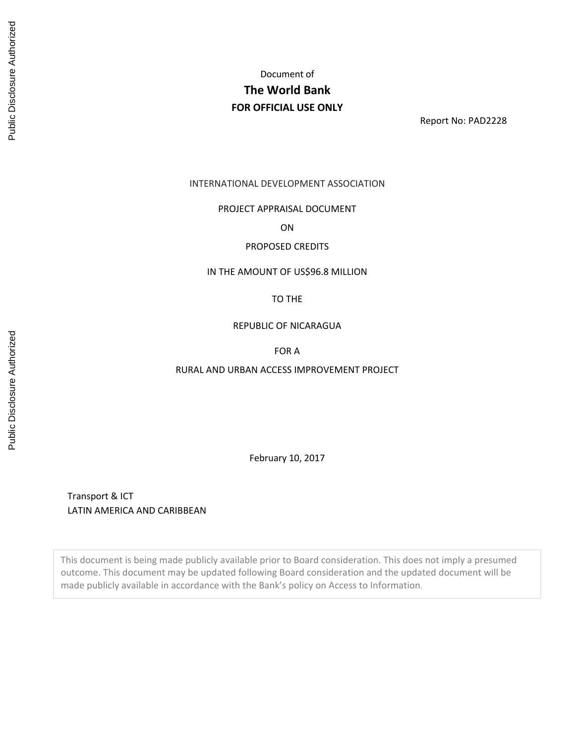# Document of **The World Bank FOR OFFICIAL USE ONLY**

Report No: PAD2228

INTERNATIONAL DEVELOPMENT ASSOCIATION

#### PROJECT APPRAISAL DOCUMENT

ON

#### PROPOSED CREDITS

#### IN THE AMOUNT OF US\$96.8 MILLION

#### TO THE

#### REPUBLIC OF NICARAGUA

# FOR A

#### RURAL AND URBAN ACCESS IMPROVEMENT PROJECT

February 10, 2017

Transport & ICT LATIN AMERICA AND CARIBBEAN

This document is being made publicly available prior to Board consideration. This does not imply a presumed outcome. This document may be updated following Board consideration and the updated document will be made publicly available in accordance with the Bank's policy on Access to Information.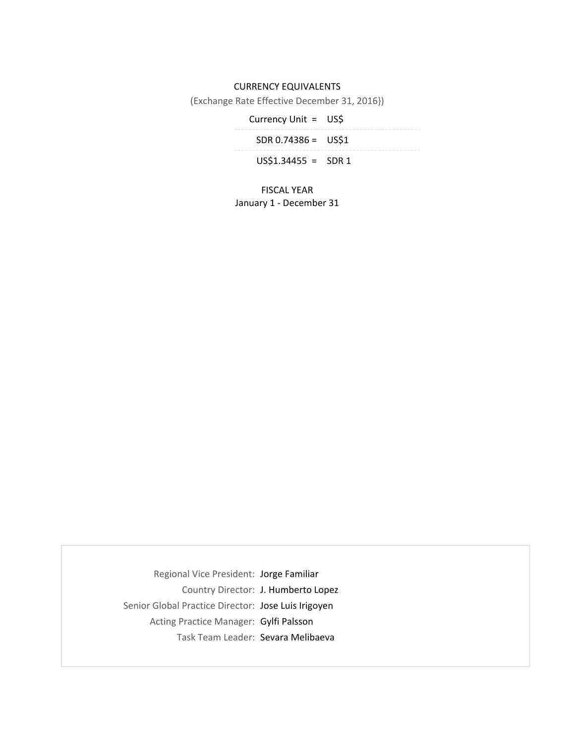# CURRENCY EQUIVALENTS

(Exchange Rate Effective December 31, 2016})

Currency Unit = US\$ SDR 0.74386 = US\$1

 $US$1.34455 = SNR1$ 

FISCAL YEAR January 1 ‐ December 31

Regional Vice President: Jorge Familiar Country Director: J. Humberto Lopez Senior Global Practice Director: Jose Luis Irigoyen Acting Practice Manager: Gylfi Palsson Task Team Leader: Sevara Melibaeva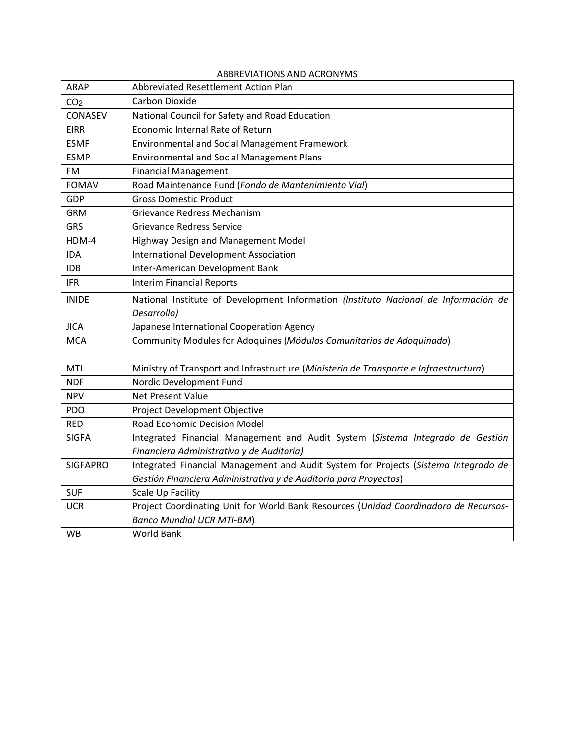| ARAP            | Abbreviated Resettlement Action Plan                                                  |
|-----------------|---------------------------------------------------------------------------------------|
| CO <sub>2</sub> | Carbon Dioxide                                                                        |
| CONASEV         | National Council for Safety and Road Education                                        |
| <b>EIRR</b>     | Economic Internal Rate of Return                                                      |
| <b>ESMF</b>     | <b>Environmental and Social Management Framework</b>                                  |
| <b>ESMP</b>     | <b>Environmental and Social Management Plans</b>                                      |
| <b>FM</b>       | <b>Financial Management</b>                                                           |
| <b>FOMAV</b>    | Road Maintenance Fund (Fondo de Mantenimiento Vial)                                   |
| GDP             | <b>Gross Domestic Product</b>                                                         |
| <b>GRM</b>      | Grievance Redress Mechanism                                                           |
| <b>GRS</b>      | <b>Grievance Redress Service</b>                                                      |
| HDM-4           | Highway Design and Management Model                                                   |
| <b>IDA</b>      | <b>International Development Association</b>                                          |
| <b>IDB</b>      | Inter-American Development Bank                                                       |
| <b>IFR</b>      | <b>Interim Financial Reports</b>                                                      |
| <b>INIDE</b>    | National Institute of Development Information (Instituto Nacional de Información de   |
|                 | Desarrollo)                                                                           |
| <b>JICA</b>     | Japanese International Cooperation Agency                                             |
| <b>MCA</b>      | Community Modules for Adoquines (Módulos Comunitarios de Adoquinado)                  |
|                 |                                                                                       |
| MTI             | Ministry of Transport and Infrastructure (Ministerio de Transporte e Infraestructura) |
| <b>NDF</b>      | Nordic Development Fund                                                               |
| <b>NPV</b>      | <b>Net Present Value</b>                                                              |
| <b>PDO</b>      | Project Development Objective                                                         |
| <b>RED</b>      | Road Economic Decision Model                                                          |
| <b>SIGFA</b>    | Integrated Financial Management and Audit System (Sistema Integrado de Gestión        |
|                 | Financiera Administrativa y de Auditoria)                                             |
| <b>SIGFAPRO</b> | Integrated Financial Management and Audit System for Projects (Sistema Integrado de   |
|                 | Gestión Financiera Administrativa y de Auditoria para Proyectos)                      |
| <b>SUF</b>      | Scale Up Facility                                                                     |
| <b>UCR</b>      | Project Coordinating Unit for World Bank Resources (Unidad Coordinadora de Recursos-  |
|                 | <b>Banco Mundial UCR MTI-BM)</b>                                                      |
| <b>WB</b>       | <b>World Bank</b>                                                                     |

# ABBREVIATIONS AND ACRONYMS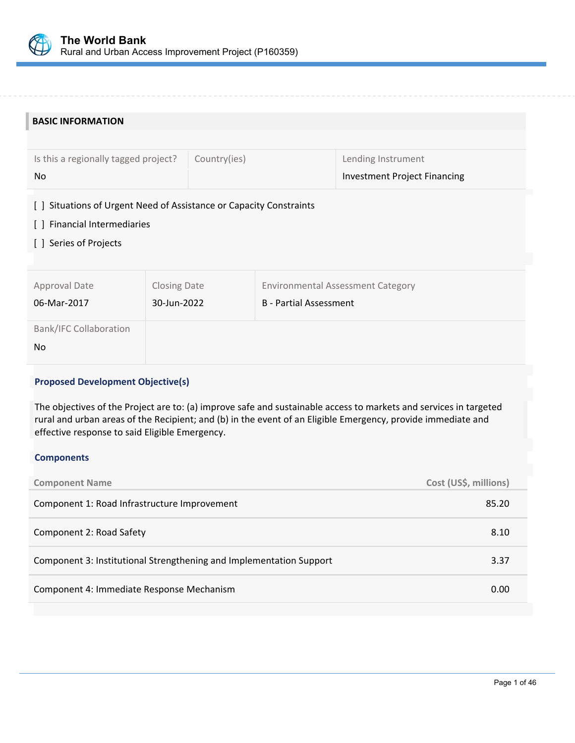

| <b>BASIC INFORMATION</b>                                                  |                     |                               |                                          |  |  |  |
|---------------------------------------------------------------------------|---------------------|-------------------------------|------------------------------------------|--|--|--|
|                                                                           |                     |                               |                                          |  |  |  |
| Is this a regionally tagged project?                                      | Country(ies)        |                               | Lending Instrument                       |  |  |  |
| No                                                                        |                     |                               | <b>Investment Project Financing</b>      |  |  |  |
| Situations of Urgent Need of Assistance or Capacity Constraints<br>$\Box$ |                     |                               |                                          |  |  |  |
| [] Financial Intermediaries                                               |                     |                               |                                          |  |  |  |
| [] Series of Projects                                                     |                     |                               |                                          |  |  |  |
|                                                                           |                     |                               |                                          |  |  |  |
| Approval Date                                                             | <b>Closing Date</b> |                               | <b>Environmental Assessment Category</b> |  |  |  |
| 06-Mar-2017<br>30-Jun-2022                                                |                     | <b>B</b> - Partial Assessment |                                          |  |  |  |
|                                                                           |                     |                               |                                          |  |  |  |
| <b>Bank/IFC Collaboration</b>                                             |                     |                               |                                          |  |  |  |
| <b>No</b>                                                                 |                     |                               |                                          |  |  |  |

# **Proposed Development Objective(s)**

The objectives of the Project are to: (a) improve safe and sustainable access to markets and services in targeted rural and urban areas of the Recipient; and (b) in the event of an Eligible Emergency, provide immediate and effective response to said Eligible Emergency.

#### **Components**

| <b>Component Name</b>                                               | Cost (US\$, millions) |
|---------------------------------------------------------------------|-----------------------|
| Component 1: Road Infrastructure Improvement                        | 85.20                 |
| Component 2: Road Safety                                            | 8.10                  |
| Component 3: Institutional Strengthening and Implementation Support | 3.37                  |
| Component 4: Immediate Response Mechanism                           | 0.00                  |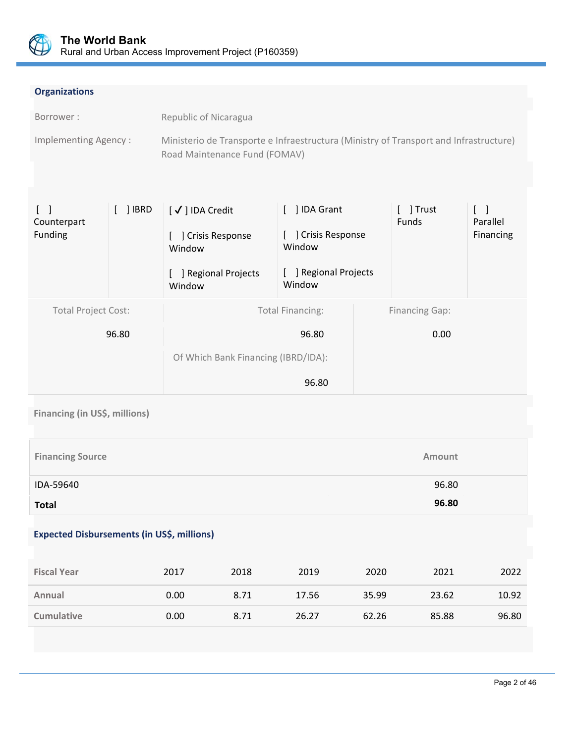

# **Organizations**

| Borrower :           | Republic of Nicaragua                                                                 |
|----------------------|---------------------------------------------------------------------------------------|
| Implementing Agency: | Ministerio de Transporte e Infraestructura (Ministry of Transport and Infrastructure) |
|                      | Road Maintenance Fund (FOMAV)                                                         |

| $\Box$<br>Counterpart      | $[ ]$ IBRD | [√] IDA Credit                      | [ ] IDA Grant                   | [ ] Trust<br><b>Funds</b> | $\begin{bmatrix} 1 \end{bmatrix}$<br>Parallel |
|----------------------------|------------|-------------------------------------|---------------------------------|---------------------------|-----------------------------------------------|
| Funding                    |            | ] Crisis Response<br>Window         | Crisis Response<br>Window       |                           | Financing                                     |
|                            |            | ] Regional Projects<br>Window       | [ ] Regional Projects<br>Window |                           |                                               |
| <b>Total Project Cost:</b> |            |                                     | <b>Total Financing:</b>         | <b>Financing Gap:</b>     |                                               |
|                            | 96.80      |                                     | 96.80                           | 0.00                      |                                               |
|                            |            | Of Which Bank Financing (IBRD/IDA): |                                 |                           |                                               |
|                            |            |                                     | 96.80                           |                           |                                               |

**Financing (in US\$, millions)**

| <b>Financing Source</b> | Amount |
|-------------------------|--------|
| IDA-59640               | 96.80  |
| <b>Total</b>            | 96.80  |

# **Expected Disbursements (in US\$, millions)**

| <b>Fiscal Year</b> | 2017 | 2018 | 2019  | 2020  | 2021  | 2022  |
|--------------------|------|------|-------|-------|-------|-------|
| Annual             | 0.00 | 8.71 | 17.56 | 35.99 | 23.62 | 10.92 |
| <b>Cumulative</b>  | 0.00 | 8.71 | 26.27 | 62.26 | 85.88 | 96.80 |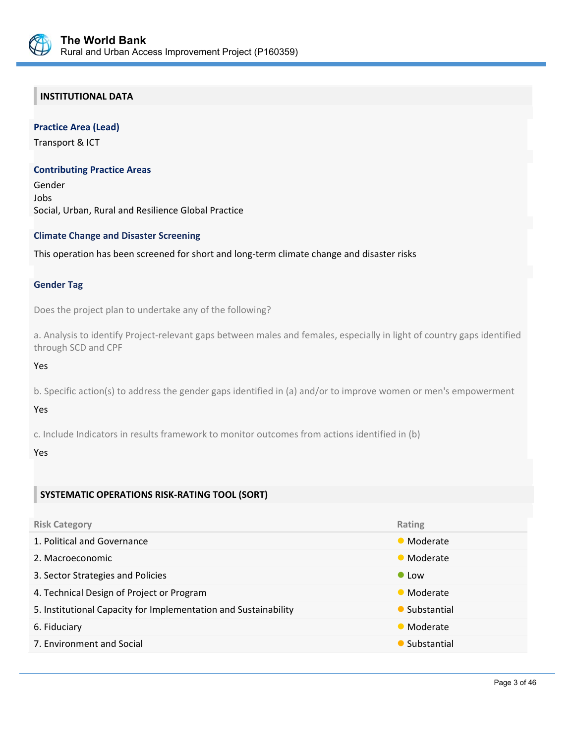

# **INSTITUTIONAL DATA**

# **Practice Area (Lead)**

Transport & ICT

#### **Contributing Practice Areas**

Gender Jobs Social, Urban, Rural and Resilience Global Practice

# **Climate Change and Disaster Screening**

This operation has been screened for short and long‐term climate change and disaster risks

#### **Gender Tag**

Does the project plan to undertake any of the following?

a. Analysis to identify Project‐relevant gaps between males and females, especially in light of country gaps identified through SCD and CPF

Yes

b. Specific action(s) to address the gender gaps identified in (a) and/or to improve women or men's empowerment

Yes

c. Include Indicators in results framework to monitor outcomes from actions identified in (b)

#### Yes

# **SYSTEMATIC OPERATIONS RISK‐RATING TOOL (SORT)**

| <b>Risk Category</b>                                            | Rating        |
|-----------------------------------------------------------------|---------------|
| 1. Political and Governance                                     | • Moderate    |
| 2. Macroeconomic                                                | • Moderate    |
| 3. Sector Strategies and Policies                               | $\bullet$ Low |
| 4. Technical Design of Project or Program                       | • Moderate    |
| 5. Institutional Capacity for Implementation and Sustainability | • Substantial |
| 6. Fiduciary                                                    | • Moderate    |
| 7. Environment and Social                                       | • Substantial |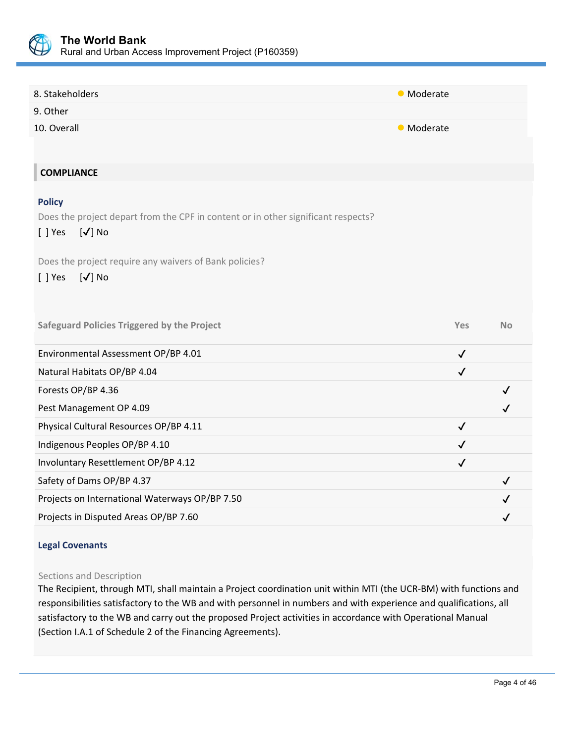

| 8. Stakeholders                                                                                                                                                                                                           | • Moderate        |              |
|---------------------------------------------------------------------------------------------------------------------------------------------------------------------------------------------------------------------------|-------------------|--------------|
| 9. Other                                                                                                                                                                                                                  |                   |              |
| 10. Overall                                                                                                                                                                                                               | <b>•</b> Moderate |              |
|                                                                                                                                                                                                                           |                   |              |
| <b>COMPLIANCE</b>                                                                                                                                                                                                         |                   |              |
| <b>Policy</b><br>Does the project depart from the CPF in content or in other significant respects?<br>$[\sqrt]$ No<br>$[ ]$ Yes<br>Does the project require any waivers of Bank policies?<br>$[\checkmark]$ No<br>[ ] Yes |                   |              |
| <b>Safeguard Policies Triggered by the Project</b>                                                                                                                                                                        | Yes               | <b>No</b>    |
| Environmental Assessment OP/BP 4.01                                                                                                                                                                                       | $\checkmark$      |              |
| Natural Habitats OP/BP 4.04                                                                                                                                                                                               | $\checkmark$      |              |
| Forests OP/BP 4.36                                                                                                                                                                                                        |                   | $\checkmark$ |
| Pest Management OP 4.09                                                                                                                                                                                                   |                   | ✓            |
| Physical Cultural Resources OP/BP 4.11                                                                                                                                                                                    | $\checkmark$      |              |
| Indigenous Peoples OP/BP 4.10                                                                                                                                                                                             | $\checkmark$      |              |
| Involuntary Resettlement OP/BP 4.12                                                                                                                                                                                       | $\checkmark$      |              |
| Safety of Dams OP/BP 4.37                                                                                                                                                                                                 |                   | ✓            |
| Projects on International Waterways OP/BP 7.50                                                                                                                                                                            |                   |              |
| Projects in Disputed Areas OP/BP 7.60                                                                                                                                                                                     |                   | ✓            |
|                                                                                                                                                                                                                           |                   |              |

# **Legal Covenants**

#### Sections and Description

The Recipient, through MTI, shall maintain a Project coordination unit within MTI (the UCR‐BM) with functions and responsibilities satisfactory to the WB and with personnel in numbers and with experience and qualifications, all satisfactory to the WB and carry out the proposed Project activities in accordance with Operational Manual (Section I.A.1 of Schedule 2 of the Financing Agreements).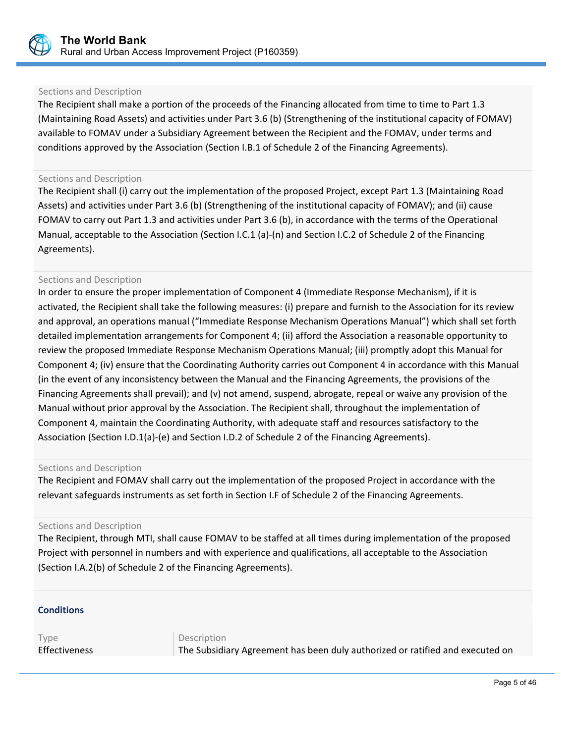

## Sections and Description

The Recipient shall make a portion of the proceeds of the Financing allocated from time to time to Part 1.3 (Maintaining Road Assets) and activities under Part 3.6 (b) (Strengthening of the institutional capacity of FOMAV) available to FOMAV under a Subsidiary Agreement between the Recipient and the FOMAV, under terms and conditions approved by the Association (Section I.B.1 of Schedule 2 of the Financing Agreements).

#### Sections and Description

The Recipient shall (i) carry out the implementation of the proposed Project, except Part 1.3 (Maintaining Road Assets) and activities under Part 3.6 (b) (Strengthening of the institutional capacity of FOMAV); and (ii) cause FOMAV to carry out Part 1.3 and activities under Part 3.6 (b), in accordance with the terms of the Operational Manual, acceptable to the Association (Section I.C.1 (a)‐(n) and Section I.C.2 of Schedule 2 of the Financing Agreements).

#### Sections and Description

In order to ensure the proper implementation of Component 4 (Immediate Response Mechanism), if it is activated, the Recipient shall take the following measures: (i) prepare and furnish to the Association for its review and approval, an operations manual ("Immediate Response Mechanism Operations Manual") which shall set forth detailed implementation arrangements for Component 4; (ii) afford the Association a reasonable opportunity to review the proposed Immediate Response Mechanism Operations Manual; (iii) promptly adopt this Manual for Component 4; (iv) ensure that the Coordinating Authority carries out Component 4 in accordance with this Manual (in the event of any inconsistency between the Manual and the Financing Agreements, the provisions of the Financing Agreements shall prevail); and (v) not amend, suspend, abrogate, repeal or waive any provision of the Manual without prior approval by the Association. The Recipient shall, throughout the implementation of Component 4, maintain the Coordinating Authority, with adequate staff and resources satisfactory to the Association (Section I.D.1(a)‐(e) and Section I.D.2 of Schedule 2 of the Financing Agreements).

#### Sections and Description

The Recipient and FOMAV shall carry out the implementation of the proposed Project in accordance with the relevant safeguards instruments as set forth in Section I.F of Schedule 2 of the Financing Agreements.

#### Sections and Description

The Recipient, through MTI, shall cause FOMAV to be staffed at all times during implementation of the proposed Project with personnel in numbers and with experience and qualifications, all acceptable to the Association (Section I.A.2(b) of Schedule 2 of the Financing Agreements).

l,

# **Conditions**

Type Description

Effectiveness The Subsidiary Agreement has been duly authorized or ratified and executed on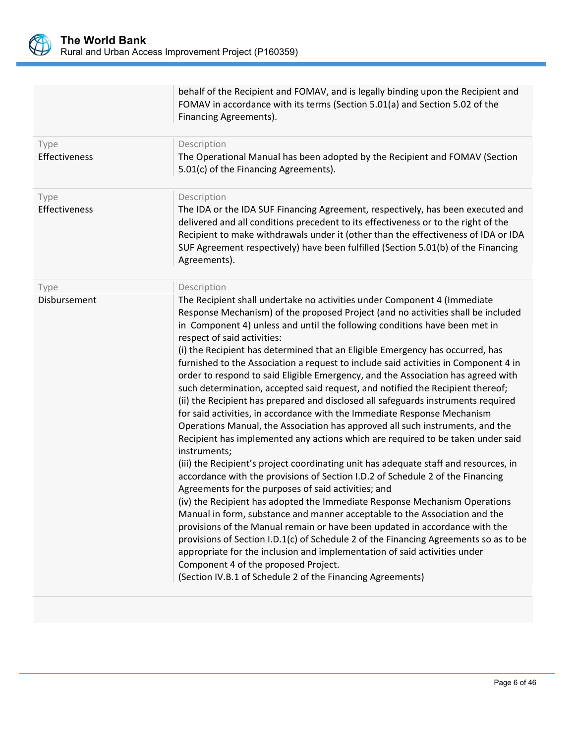

behalf of the Recipient and FOMAV, and is legally binding upon the Recipient and FOMAV in accordance with its terms (Section 5.01(a) and Section 5.02 of the Financing Agreements).

| Type<br>Effectiveness | Description<br>The Operational Manual has been adopted by the Recipient and FOMAV (Section<br>5.01(c) of the Financing Agreements).                                                                                                                                                                                                                                                                                                                                                                                                                                                                                                                                                                                                                                                                                                                                                                                                                                                                                                                                                                                                                                                                                                                                                                                                                                                                                                                                                                                                                                                                                                                                                                                                                |
|-----------------------|----------------------------------------------------------------------------------------------------------------------------------------------------------------------------------------------------------------------------------------------------------------------------------------------------------------------------------------------------------------------------------------------------------------------------------------------------------------------------------------------------------------------------------------------------------------------------------------------------------------------------------------------------------------------------------------------------------------------------------------------------------------------------------------------------------------------------------------------------------------------------------------------------------------------------------------------------------------------------------------------------------------------------------------------------------------------------------------------------------------------------------------------------------------------------------------------------------------------------------------------------------------------------------------------------------------------------------------------------------------------------------------------------------------------------------------------------------------------------------------------------------------------------------------------------------------------------------------------------------------------------------------------------------------------------------------------------------------------------------------------------|
| Type<br>Effectiveness | Description<br>The IDA or the IDA SUF Financing Agreement, respectively, has been executed and<br>delivered and all conditions precedent to its effectiveness or to the right of the<br>Recipient to make withdrawals under it (other than the effectiveness of IDA or IDA<br>SUF Agreement respectively) have been fulfilled (Section 5.01(b) of the Financing<br>Agreements).                                                                                                                                                                                                                                                                                                                                                                                                                                                                                                                                                                                                                                                                                                                                                                                                                                                                                                                                                                                                                                                                                                                                                                                                                                                                                                                                                                    |
| Type<br>Disbursement  | Description<br>The Recipient shall undertake no activities under Component 4 (Immediate<br>Response Mechanism) of the proposed Project (and no activities shall be included<br>in Component 4) unless and until the following conditions have been met in<br>respect of said activities:<br>(i) the Recipient has determined that an Eligible Emergency has occurred, has<br>furnished to the Association a request to include said activities in Component 4 in<br>order to respond to said Eligible Emergency, and the Association has agreed with<br>such determination, accepted said request, and notified the Recipient thereof;<br>(ii) the Recipient has prepared and disclosed all safeguards instruments required<br>for said activities, in accordance with the Immediate Response Mechanism<br>Operations Manual, the Association has approved all such instruments, and the<br>Recipient has implemented any actions which are required to be taken under said<br>instruments;<br>(iii) the Recipient's project coordinating unit has adequate staff and resources, in<br>accordance with the provisions of Section I.D.2 of Schedule 2 of the Financing<br>Agreements for the purposes of said activities; and<br>(iv) the Recipient has adopted the Immediate Response Mechanism Operations<br>Manual in form, substance and manner acceptable to the Association and the<br>provisions of the Manual remain or have been updated in accordance with the<br>provisions of Section I.D.1(c) of Schedule 2 of the Financing Agreements so as to be<br>appropriate for the inclusion and implementation of said activities under<br>Component 4 of the proposed Project.<br>(Section IV.B.1 of Schedule 2 of the Financing Agreements) |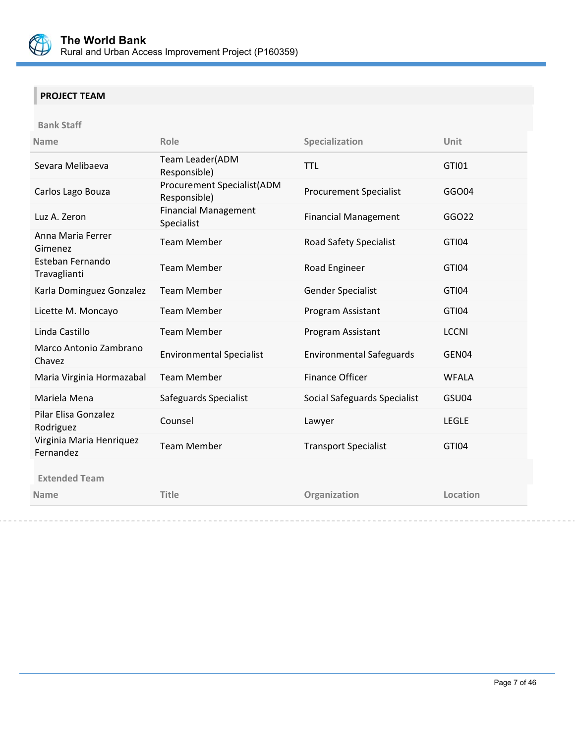

# **PROJECT TEAM**

**Bank Staff** 

| <b>Name</b>                           | Role                                              | Specialization                  | Unit         |
|---------------------------------------|---------------------------------------------------|---------------------------------|--------------|
| Sevara Melibaeva                      | Team Leader(ADM<br>Responsible)                   | <b>TTL</b>                      | <b>GTI01</b> |
| Carlos Lago Bouza                     | <b>Procurement Specialist(ADM</b><br>Responsible) | <b>Procurement Specialist</b>   | GGO04        |
| Luz A. Zeron                          | <b>Financial Management</b><br>Specialist         | <b>Financial Management</b>     | GGO22        |
| Anna Maria Ferrer<br>Gimenez          | <b>Team Member</b>                                | Road Safety Specialist          | GTI04        |
| Esteban Fernando<br>Travaglianti      | <b>Team Member</b>                                | Road Engineer                   | GTI04        |
| Karla Dominguez Gonzalez              | <b>Team Member</b>                                | Gender Specialist               | GTI04        |
| Licette M. Moncayo                    | <b>Team Member</b>                                | Program Assistant               | GTI04        |
| Linda Castillo                        | <b>Team Member</b>                                | Program Assistant               | <b>LCCNI</b> |
| Marco Antonio Zambrano<br>Chavez      | <b>Environmental Specialist</b>                   | <b>Environmental Safeguards</b> | GEN04        |
| Maria Virginia Hormazabal             | <b>Team Member</b>                                | <b>Finance Officer</b>          | <b>WFALA</b> |
| Mariela Mena                          | Safeguards Specialist                             | Social Safeguards Specialist    | GSU04        |
| Pilar Elisa Gonzalez<br>Rodriguez     | Counsel                                           | Lawyer                          | <b>LEGLE</b> |
| Virginia Maria Henriquez<br>Fernandez | <b>Team Member</b>                                | <b>Transport Specialist</b>     | GTI04        |
| <b>Extended Team</b>                  |                                                   |                                 |              |
| <b>Name</b>                           | <b>Title</b>                                      | Organization                    | Location     |
|                                       |                                                   |                                 |              |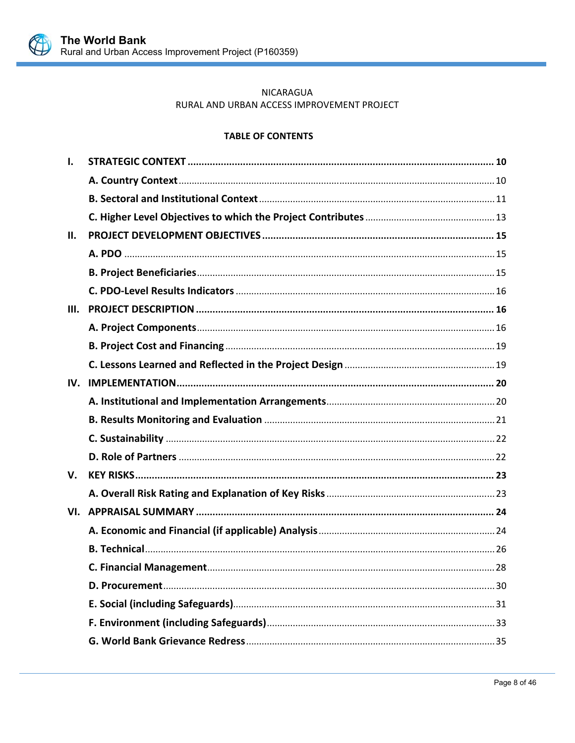

# NICARAGUA RURAL AND URBAN ACCESS IMPROVEMENT PROJECT

# **TABLE OF CONTENTS**

| Ι.   |  |
|------|--|
|      |  |
|      |  |
|      |  |
| Ш.   |  |
|      |  |
|      |  |
|      |  |
| III. |  |
|      |  |
|      |  |
|      |  |
| IV.  |  |
|      |  |
|      |  |
|      |  |
|      |  |
| V.   |  |
|      |  |
| VI.  |  |
|      |  |
|      |  |
|      |  |
|      |  |
|      |  |
|      |  |
|      |  |
|      |  |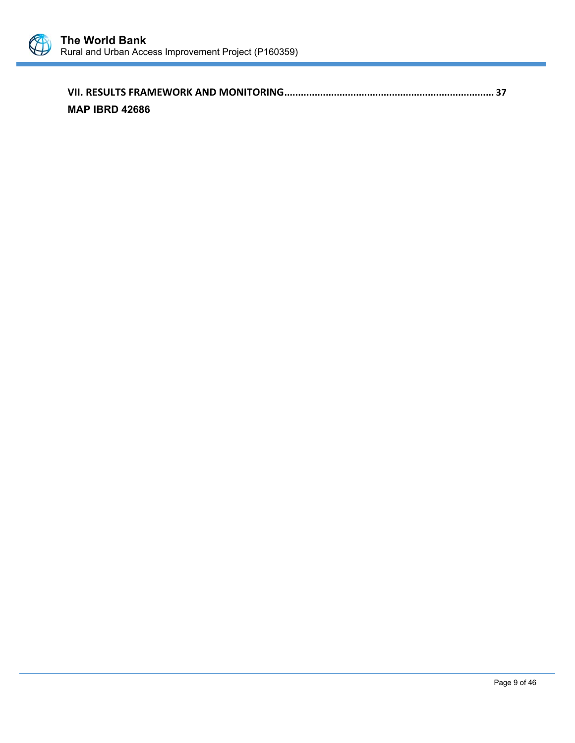

| <b>MAP IBRD 42686</b> |  |
|-----------------------|--|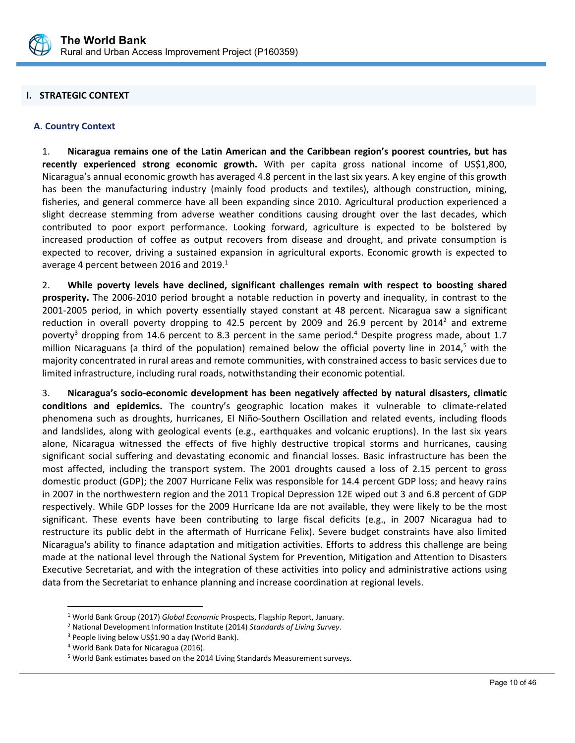

# **I. STRATEGIC CONTEXT**

#### **A. Country Context**

1. **Nicaragua remains one of the Latin American and the Caribbean region's poorest countries, but has recently experienced strong economic growth.** With per capita gross national income of US\$1,800, Nicaragua's annual economic growth has averaged 4.8 percent in the last six years. A key engine of this growth has been the manufacturing industry (mainly food products and textiles), although construction, mining, fisheries, and general commerce have all been expanding since 2010. Agricultural production experienced a slight decrease stemming from adverse weather conditions causing drought over the last decades, which contributed to poor export performance. Looking forward, agriculture is expected to be bolstered by increased production of coffee as output recovers from disease and drought, and private consumption is expected to recover, driving a sustained expansion in agricultural exports. Economic growth is expected to average 4 percent between 2016 and 2019. $1$ 

2. **While poverty levels have declined, significant challenges remain with respect to boosting shared prosperity.** The 2006‐2010 period brought a notable reduction in poverty and inequality, in contrast to the 2001‐2005 period, in which poverty essentially stayed constant at 48 percent. Nicaragua saw a significant reduction in overall poverty dropping to 42.5 percent by 2009 and 26.9 percent by 2014<sup>2</sup> and extreme poverty<sup>3</sup> dropping from 14.6 percent to 8.3 percent in the same period.<sup>4</sup> Despite progress made, about 1.7 million Nicaraguans (a third of the population) remained below the official poverty line in 2014,<sup>5</sup> with the majority concentrated in rural areas and remote communities, with constrained access to basic services due to limited infrastructure, including rural roads, notwithstanding their economic potential.

3. **Nicaragua's socio‐economic development has been negatively affected by natural disasters, climatic conditions and epidemics.** The country's geographic location makes it vulnerable to climate‐related phenomena such as droughts, hurricanes, El Niño‐Southern Oscillation and related events, including floods and landslides, along with geological events (e.g., earthquakes and volcanic eruptions). In the last six years alone, Nicaragua witnessed the effects of five highly destructive tropical storms and hurricanes, causing significant social suffering and devastating economic and financial losses. Basic infrastructure has been the most affected, including the transport system. The 2001 droughts caused a loss of 2.15 percent to gross domestic product (GDP); the 2007 Hurricane Felix was responsible for 14.4 percent GDP loss; and heavy rains in 2007 in the northwestern region and the 2011 Tropical Depression 12E wiped out 3 and 6.8 percent of GDP respectively. While GDP losses for the 2009 Hurricane Ida are not available, they were likely to be the most significant. These events have been contributing to large fiscal deficits (e.g., in 2007 Nicaragua had to restructure its public debt in the aftermath of Hurricane Felix). Severe budget constraints have also limited Nicaragua's ability to finance adaptation and mitigation activities. Efforts to address this challenge are being made at the national level through the National System for Prevention, Mitigation and Attention to Disasters Executive Secretariat, and with the integration of these activities into policy and administrative actions using data from the Secretariat to enhance planning and increase coordination at regional levels.

l,

 $\overline{a}$ 

<sup>1</sup> World Bank Group (2017) *Global Economic* Prospects, Flagship Report, January.

<sup>2</sup> National Development Information Institute (2014) *Standards of Living Survey*.

<sup>&</sup>lt;sup>3</sup> People living below US\$1.90 a day (World Bank).

<sup>4</sup> World Bank Data for Nicaragua (2016).

<sup>5</sup> World Bank estimates based on the 2014 Living Standards Measurement surveys.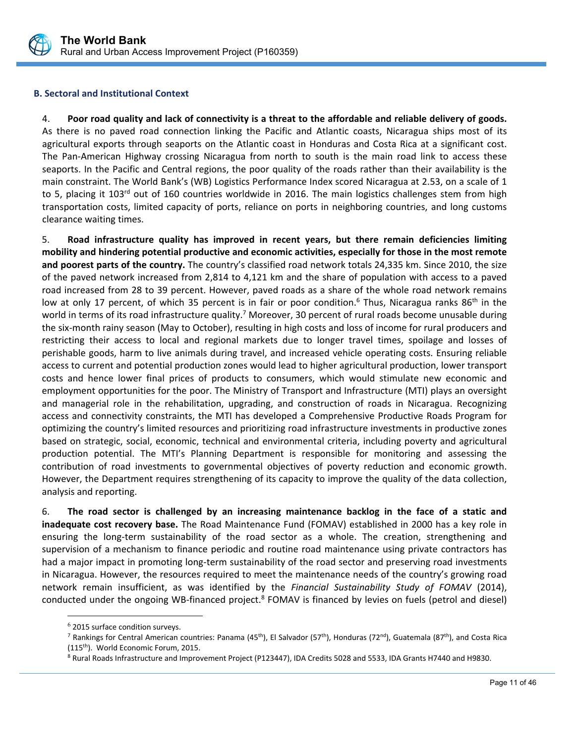

# **B. Sectoral and Institutional Context**

4. **Poor road quality and lack of connectivity is a threat to the affordable and reliable delivery of goods.** As there is no paved road connection linking the Pacific and Atlantic coasts, Nicaragua ships most of its agricultural exports through seaports on the Atlantic coast in Honduras and Costa Rica at a significant cost. The Pan-American Highway crossing Nicaragua from north to south is the main road link to access these seaports. In the Pacific and Central regions, the poor quality of the roads rather than their availability is the main constraint. The World Bank's (WB) Logistics Performance Index scored Nicaragua at 2.53, on a scale of 1 to 5, placing it  $103<sup>rd</sup>$  out of 160 countries worldwide in 2016. The main logistics challenges stem from high transportation costs, limited capacity of ports, reliance on ports in neighboring countries, and long customs clearance waiting times.

5. **Road infrastructure quality has improved in recent years, but there remain deficiencies limiting mobility and hindering potential productive and economic activities, especially for those in the most remote and poorest parts of the country.** The country's classified road network totals 24,335 km. Since 2010, the size of the paved network increased from 2,814 to 4,121 km and the share of population with access to a paved road increased from 28 to 39 percent. However, paved roads as a share of the whole road network remains low at only 17 percent, of which 35 percent is in fair or poor condition.<sup>6</sup> Thus, Nicaragua ranks 86<sup>th</sup> in the world in terms of its road infrastructure quality.<sup>7</sup> Moreover, 30 percent of rural roads become unusable during the six‐month rainy season (May to October), resulting in high costs and loss of income for rural producers and restricting their access to local and regional markets due to longer travel times, spoilage and losses of perishable goods, harm to live animals during travel, and increased vehicle operating costs. Ensuring reliable access to current and potential production zones would lead to higher agricultural production, lower transport costs and hence lower final prices of products to consumers, which would stimulate new economic and employment opportunities for the poor. The Ministry of Transport and Infrastructure (MTI) plays an oversight and managerial role in the rehabilitation, upgrading, and construction of roads in Nicaragua. Recognizing access and connectivity constraints, the MTI has developed a Comprehensive Productive Roads Program for optimizing the country's limited resources and prioritizing road infrastructure investments in productive zones based on strategic, social, economic, technical and environmental criteria, including poverty and agricultural production potential. The MTI's Planning Department is responsible for monitoring and assessing the contribution of road investments to governmental objectives of poverty reduction and economic growth. However, the Department requires strengthening of its capacity to improve the quality of the data collection, analysis and reporting.

6. **The road sector is challenged by an increasing maintenance backlog in the face of a static and inadequate cost recovery base.** The Road Maintenance Fund (FOMAV) established in 2000 has a key role in ensuring the long-term sustainability of the road sector as a whole. The creation, strengthening and supervision of a mechanism to finance periodic and routine road maintenance using private contractors has had a major impact in promoting long‐term sustainability of the road sector and preserving road investments in Nicaragua. However, the resources required to meet the maintenance needs of the country's growing road network remain insufficient, as was identified by the *Financial Sustainability Study of FOMAV*  (2014), conducted under the ongoing WB-financed project.<sup>8</sup> FOMAV is financed by levies on fuels (petrol and diesel)

 $\overline{a}$ 

 $^6$  2015 surface condition surveys.

<sup>&</sup>lt;sup>7</sup> Rankings for Central American countries: Panama (45<sup>th</sup>), El Salvador (57<sup>th</sup>), Honduras (72<sup>nd</sup>), Guatemala (87<sup>th</sup>), and Costa Rica (115th). World Economic Forum, 2015.

<sup>8</sup> Rural Roads Infrastructure and Improvement Project (P123447), IDA Credits 5028 and 5533, IDA Grants H7440 and H9830.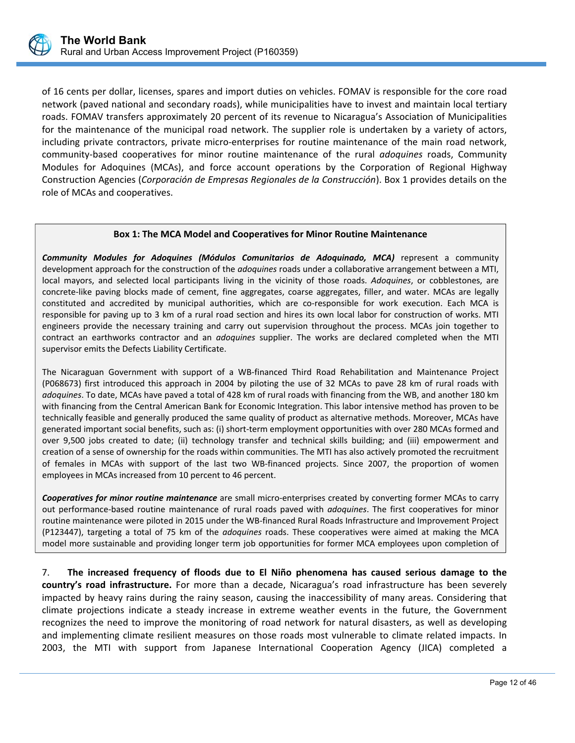

of 16 cents per dollar, licenses, spares and import duties on vehicles. FOMAV is responsible for the core road network (paved national and secondary roads), while municipalities have to invest and maintain local tertiary roads. FOMAV transfers approximately 20 percent of its revenue to Nicaragua's Association of Municipalities for the maintenance of the municipal road network. The supplier role is undertaken by a variety of actors, including private contractors, private micro‐enterprises for routine maintenance of the main road network, community‐based cooperatives for minor routine maintenance of the rural *adoquines* roads, Community Modules for Adoquines (MCAs), and force account operations by the Corporation of Regional Highway Construction Agencies (*Corporación de Empresas Regionales de la Construcción*). Box 1 provides details on the role of MCAs and cooperatives.

#### **Box 1: The MCA Model and Cooperatives for Minor Routine Maintenance**

*Community Modules for Adoquines (Módulos Comunitarios de Adoquinado, MCA)* represent a community development approach for the construction of the *adoquines* roads under a collaborative arrangement between a MTI, local mayors, and selected local participants living in the vicinity of those roads. Adoquines, or cobblestones, are concrete-like paving blocks made of cement, fine aggregates, coarse aggregates, filler, and water. MCAs are legally constituted and accredited by municipal authorities, which are co-responsible for work execution. Each MCA is responsible for paving up to 3 km of a rural road section and hires its own local labor for construction of works. MTI engineers provide the necessary training and carry out supervision throughout the process. MCAs join together to contract an earthworks contractor and an *adoquines* supplier. The works are declared completed when the MTI supervisor emits the Defects Liability Certificate.

The Nicaraguan Government with support of a WB-financed Third Road Rehabilitation and Maintenance Project (P068673) first introduced this approach in 2004 by piloting the use of 32 MCAs to pave 28 km of rural roads with *adoquines*. To date, MCAs have paved a total of 428 km of rural roads with financing from the WB, and another 180 km with financing from the Central American Bank for Economic Integration. This labor intensive method has proven to be technically feasible and generally produced the same quality of product as alternative methods. Moreover, MCAs have generated important social benefits, such as: (i) short-term employment opportunities with over 280 MCAs formed and over 9,500 jobs created to date; (ii) technology transfer and technical skills building; and (iii) empowerment and creation of a sense of ownership for the roads within communities. The MTI has also actively promoted the recruitment of females in MCAs with support of the last two WB-financed projects. Since 2007, the proportion of women employees in MCAs increased from 10 percent to 46 percent.

*Cooperatives for minor routine maintenance* are small micro‐enterprises created by converting former MCAs to carry out performance-based routine maintenance of rural roads paved with *adoquines*. The first cooperatives for minor routine maintenance were piloted in 2015 under the WB‐financed Rural Roads Infrastructure and Improvement Project (P123447), targeting a total of 75 km of the *adoquines* roads. These cooperatives were aimed at making the MCA model more sustainable and providing longer term job opportunities for former MCA employees upon completion of

7. **The increased frequency of floods due to El Niño phenomena has caused serious damage to the country's road infrastructure.** For more than a decade, Nicaragua's road infrastructure has been severely impacted by heavy rains during the rainy season, causing the inaccessibility of many areas. Considering that climate projections indicate a steady increase in extreme weather events in the future, the Government recognizes the need to improve the monitoring of road network for natural disasters, as well as developing and implementing climate resilient measures on those roads most vulnerable to climate related impacts. In 2003, the MTI with support from Japanese International Cooperation Agency (JICA) completed a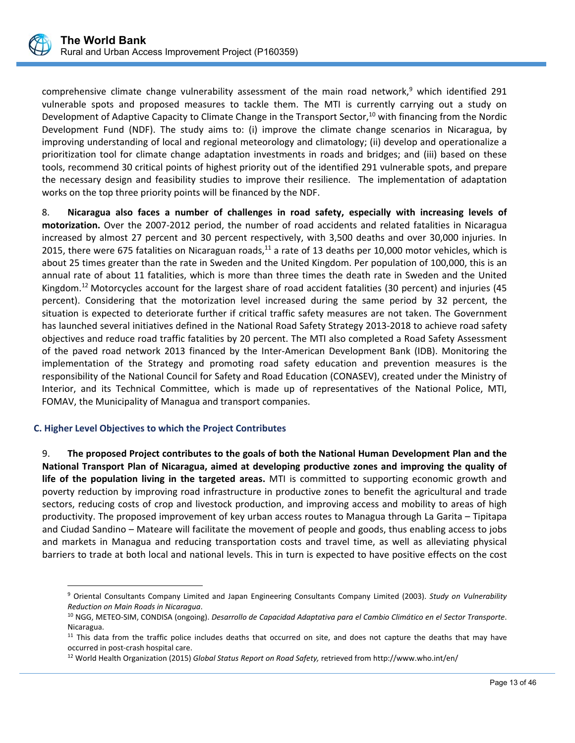

comprehensive climate change vulnerability assessment of the main road network,<sup>9</sup> which identified 291 vulnerable spots and proposed measures to tackle them. The MTI is currently carrying out a study on Development of Adaptive Capacity to Climate Change in the Transport Sector,<sup>10</sup> with financing from the Nordic Development Fund (NDF). The study aims to: (i) improve the climate change scenarios in Nicaragua, by improving understanding of local and regional meteorology and climatology; (ii) develop and operationalize a prioritization tool for climate change adaptation investments in roads and bridges; and (iii) based on these tools, recommend 30 critical points of highest priority out of the identified 291 vulnerable spots, and prepare the necessary design and feasibility studies to improve their resilience. The implementation of adaptation works on the top three priority points will be financed by the NDF.

8. **Nicaragua also faces a number of challenges in road safety, especially with increasing levels of motorization.** Over the 2007‐2012 period, the number of road accidents and related fatalities in Nicaragua increased by almost 27 percent and 30 percent respectively, with 3,500 deaths and over 30,000 injuries. In 2015, there were 675 fatalities on Nicaraguan roads, $^{11}$  a rate of 13 deaths per 10,000 motor vehicles, which is about 25 times greater than the rate in Sweden and the United Kingdom. Per population of 100,000, this is an annual rate of about 11 fatalities, which is more than three times the death rate in Sweden and the United Kingdom.<sup>12</sup> Motorcycles account for the largest share of road accident fatalities (30 percent) and injuries (45 percent). Considering that the motorization level increased during the same period by 32 percent, the situation is expected to deteriorate further if critical traffic safety measures are not taken. The Government has launched several initiatives defined in the National Road Safety Strategy 2013‐2018 to achieve road safety objectives and reduce road traffic fatalities by 20 percent. The MTI also completed a Road Safety Assessment of the paved road network 2013 financed by the Inter‐American Development Bank (IDB). Monitoring the implementation of the Strategy and promoting road safety education and prevention measures is the responsibility of the National Council for Safety and Road Education (CONASEV), created under the Ministry of Interior, and its Technical Committee, which is made up of representatives of the National Police, MTI, FOMAV, the Municipality of Managua and transport companies.

# **C. Higher Level Objectives to which the Project Contributes**

 $\overline{a}$ 

9. **The proposed Project contributes to the goals of both the National Human Development Plan and the National Transport Plan of Nicaragua, aimed at developing productive zones and improving the quality of life of the population living in the targeted areas.** MTI is committed to supporting economic growth and poverty reduction by improving road infrastructure in productive zones to benefit the agricultural and trade sectors, reducing costs of crop and livestock production, and improving access and mobility to areas of high productivity. The proposed improvement of key urban access routes to Managua through La Garita – Tipitapa and Ciudad Sandino – Mateare will facilitate the movement of people and goods, thus enabling access to jobs and markets in Managua and reducing transportation costs and travel time, as well as alleviating physical barriers to trade at both local and national levels. This in turn is expected to have positive effects on the cost

<sup>9</sup> Oriental Consultants Company Limited and Japan Engineering Consultants Company Limited (2003). *Study on Vulnerability Reduction on Main Roads in Nicaragua*.

<sup>10</sup> NGG, METEO‐SIM, CONDISA (ongoing). *Desarrollo de Capacidad Adaptativa para el Cambio Climático en el Sector Transporte*. Nicaragua.

 $11$  This data from the traffic police includes deaths that occurred on site, and does not capture the deaths that may have occurred in post‐crash hospital care.

<sup>12</sup> World Health Organization (2015) *Global Status Report on Road Safety,* retrieved from http://www.who.int/en/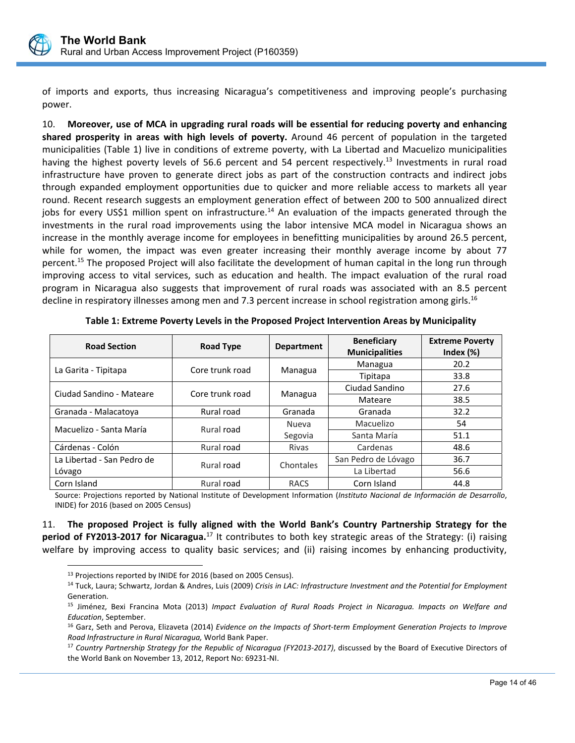

of imports and exports, thus increasing Nicaragua's competitiveness and improving people's purchasing power.

10. **Moreover, use of MCA in upgrading rural roads will be essential for reducing poverty and enhancing shared prosperity in areas with high levels of poverty.** Around 46 percent of population in the targeted municipalities (Table 1) live in conditions of extreme poverty, with La Libertad and Macuelizo municipalities having the highest poverty levels of 56.6 percent and 54 percent respectively.<sup>13</sup> Investments in rural road infrastructure have proven to generate direct jobs as part of the construction contracts and indirect jobs through expanded employment opportunities due to quicker and more reliable access to markets all year round. Recent research suggests an employment generation effect of between 200 to 500 annualized direct jobs for every US\$1 million spent on infrastructure.<sup>14</sup> An evaluation of the impacts generated through the investments in the rural road improvements using the labor intensive MCA model in Nicaragua shows an increase in the monthly average income for employees in benefitting municipalities by around 26.5 percent, while for women, the impact was even greater increasing their monthly average income by about 77 percent.<sup>15</sup> The proposed Project will also facilitate the development of human capital in the long run through improving access to vital services, such as education and health. The impact evaluation of the rural road program in Nicaragua also suggests that improvement of rural roads was associated with an 8.5 percent decline in respiratory illnesses among men and 7.3 percent increase in school registration among girls.<sup>16</sup>

| <b>Road Section</b>        | <b>Road Type</b> | <b>Department</b> | <b>Beneficiary</b><br><b>Municipalities</b> | <b>Extreme Poverty</b><br>Index $(\%)$ |
|----------------------------|------------------|-------------------|---------------------------------------------|----------------------------------------|
|                            | Core trunk road  |                   | Managua                                     | 20.2                                   |
| La Garita - Tipitapa       |                  | Managua           | Tipitapa                                    | 33.8                                   |
| Ciudad Sandino - Mateare   | Core trunk road  |                   | Ciudad Sandino                              | 27.6                                   |
|                            |                  | Managua           | Mateare                                     | 38.5                                   |
| Granada - Malacatova       | Rural road       | Granada           | Granada                                     | 32.2                                   |
| Macuelizo - Santa María    | Rural road       | Nueva             | Macuelizo                                   | 54                                     |
|                            |                  | Segovia           | Santa María                                 | 51.1                                   |
| Cárdenas - Colón           | Rural road       | <b>Rivas</b>      | Cardenas                                    | 48.6                                   |
| La Libertad - San Pedro de | Rural road       | Chontales         | San Pedro de Lóvago                         | 36.7                                   |
| Lóvago                     |                  |                   | La Libertad                                 | 56.6                                   |
| Corn Island                | Rural road       | <b>RACS</b>       | Corn Island                                 | 44.8                                   |

**Table 1: Extreme Poverty Levels in the Proposed Project Intervention Areas by Municipality**

Source: Projections reported by National Institute of Development Information (*Instituto Nacional de Información de Desarrollo*, INIDE) for 2016 (based on 2005 Census)

11. **The proposed Project is fully aligned with the World Bank's Country Partnership Strategy for the period of FY2013‐2017 for Nicaragua.**17 It contributes to both key strategic areas of the Strategy: (i) raising welfare by improving access to quality basic services; and (ii) raising incomes by enhancing productivity,

 $\overline{a}$ 

<sup>&</sup>lt;sup>13</sup> Projections reported by INIDE for 2016 (based on 2005 Census).

<sup>14</sup> Tuck, Laura; Schwartz, Jordan & Andres, Luis (2009) *Crisis in LAC: Infrastructure Investment and the Potential for Employment*  Generation.

<sup>15</sup> Jiménez, Bexi Francina Mota (2013) *Impact Evaluation of Rural Roads Project in Nicaragua. Impacts on Welfare and Education*, September.

<sup>16</sup> Garz, Seth and Perova, Elizaveta (2014) *Evidence on the Impacts of Short‐term Employment Generation Projects to Improve Road Infrastructure in Rural Nicaragua,* World Bank Paper.

l, <sup>17</sup> Country Partnership Strategy for the Republic of Nicaragua (FY2013-2017), discussed by the Board of Executive Directors of the World Bank on November 13, 2012, Report No: 69231‐NI.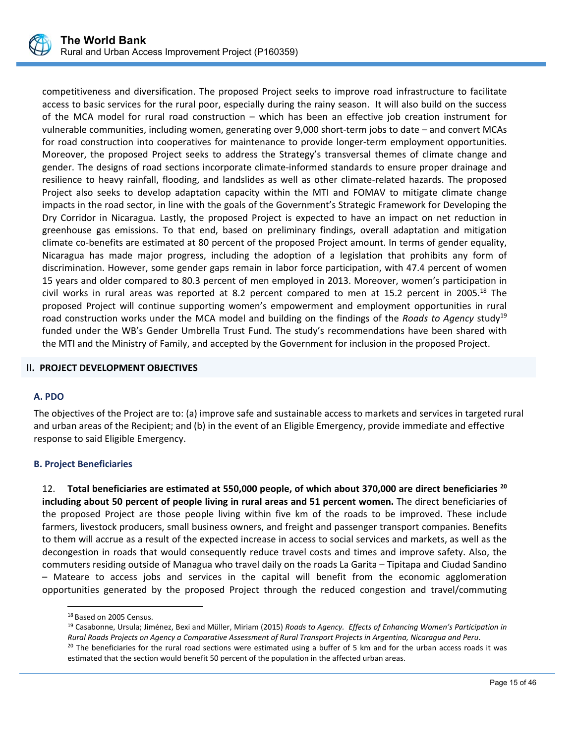

competitiveness and diversification. The proposed Project seeks to improve road infrastructure to facilitate access to basic services for the rural poor, especially during the rainy season. It will also build on the success of the MCA model for rural road construction – which has been an effective job creation instrument for vulnerable communities, including women, generating over 9,000 short‐term jobs to date – and convert MCAs for road construction into cooperatives for maintenance to provide longer-term employment opportunities. Moreover, the proposed Project seeks to address the Strategy's transversal themes of climate change and gender. The designs of road sections incorporate climate‐informed standards to ensure proper drainage and resilience to heavy rainfall, flooding, and landslides as well as other climate-related hazards. The proposed Project also seeks to develop adaptation capacity within the MTI and FOMAV to mitigate climate change impacts in the road sector, in line with the goals of the Government's Strategic Framework for Developing the Dry Corridor in Nicaragua. Lastly, the proposed Project is expected to have an impact on net reduction in greenhouse gas emissions. To that end, based on preliminary findings, overall adaptation and mitigation climate co‐benefits are estimated at 80 percent of the proposed Project amount. In terms of gender equality, Nicaragua has made major progress, including the adoption of a legislation that prohibits any form of discrimination. However, some gender gaps remain in labor force participation, with 47.4 percent of women 15 years and older compared to 80.3 percent of men employed in 2013. Moreover, women's participation in civil works in rural areas was reported at 8.2 percent compared to men at 15.2 percent in 2005.<sup>18</sup> The proposed Project will continue supporting women's empowerment and employment opportunities in rural road construction works under the MCA model and building on the findings of the *Roads to Agency* study<sup>19</sup> funded under the WB's Gender Umbrella Trust Fund. The study's recommendations have been shared with the MTI and the Ministry of Family, and accepted by the Government for inclusion in the proposed Project.

# **II. PROJECT DEVELOPMENT OBJECTIVES**

#### **A. PDO**

The objectives of the Project are to: (a) improve safe and sustainable access to markets and services in targeted rural and urban areas of the Recipient; and (b) in the event of an Eligible Emergency, provide immediate and effective response to said Eligible Emergency.

#### **B. Project Beneficiaries**

12. **Total beneficiaries are estimated at 550,000 people, of which about 370,000 are direct beneficiaries 20 including about 50 percent of people living in rural areas and 51 percent women.** The direct beneficiaries of the proposed Project are those people living within five km of the roads to be improved. These include farmers, livestock producers, small business owners, and freight and passenger transport companies. Benefits to them will accrue as a result of the expected increase in access to social services and markets, as well as the decongestion in roads that would consequently reduce travel costs and times and improve safety. Also, the commuters residing outside of Managua who travel daily on the roads La Garita – Tipitapa and Ciudad Sandino – Mateare to access jobs and services in the capital will benefit from the economic agglomeration opportunities generated by the proposed Project through the reduced congestion and travel/commuting

 $\overline{a}$ 

<sup>&</sup>lt;sup>18</sup> Based on 2005 Census.

<sup>19</sup> Casabonne, Ursula; Jiménez, Bexi and Müller, Miriam (2015) *Roads to Agency. Effects of Enhancing Women's Participation in Rural Roads Projects on Agency a Comparative Assessment of Rural Transport Projects in Argentina, Nicaragua and Peru*.  $20$  The beneficiaries for the rural road sections were estimated using a buffer of 5 km and for the urban access roads it was estimated that the section would benefit 50 percent of the population in the affected urban areas.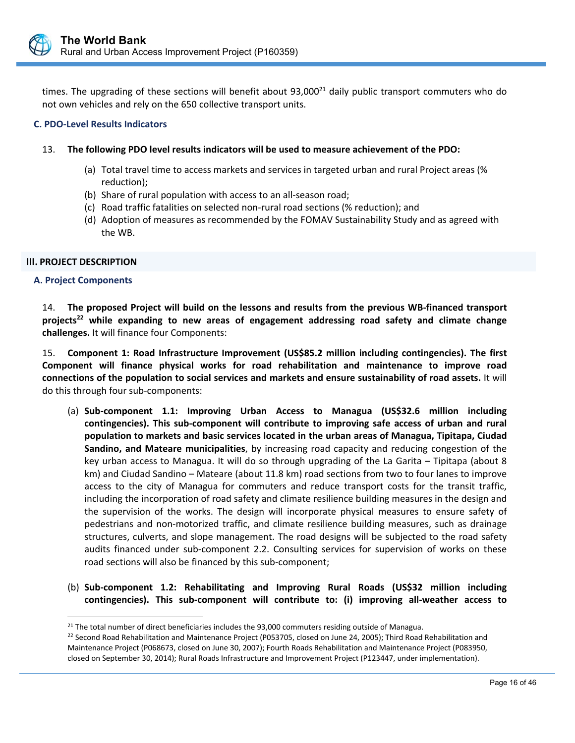

times. The upgrading of these sections will benefit about  $93,000^{21}$  daily public transport commuters who do not own vehicles and rely on the 650 collective transport units.

#### **C. PDO‐Level Results Indicators**

#### 13. **The following PDO level results indicators will be used to measure achievement of the PDO:**

- (a) Total travel time to access markets and services in targeted urban and rural Project areas (% reduction);
- (b) Share of rural population with access to an all‐season road;
- (c) Road traffic fatalities on selected non‐rural road sections (% reduction); and
- (d) Adoption of measures as recommended by the FOMAV Sustainability Study and as agreed with the WB.

#### **III. PROJECT DESCRIPTION**

#### **A. Project Components**

 $\overline{a}$ 

14. **The proposed Project will build on the lessons and results from the previous WB‐financed transport**  projects<sup>22</sup> while expanding to new areas of engagement addressing road safety and climate change **challenges.** It will finance four Components:

15. **Component 1: Road Infrastructure Improvement (US\$85.2 million including contingencies). The first Component will finance physical works for road rehabilitation and maintenance to improve road connections of the population to social services and markets and ensure sustainability of road assets.** It will do this through four sub‐components:

- (a) **Sub‐component 1.1: Improving Urban Access to Managua (US\$32.6 million including contingencies). This sub‐component will contribute to improving safe access of urban and rural population to markets and basic services located in the urban areas of Managua, Tipitapa, Ciudad Sandino, and Mateare municipalities**, by increasing road capacity and reducing congestion of the key urban access to Managua. It will do so through upgrading of the La Garita – Tipitapa (about 8 km) and Ciudad Sandino – Mateare (about 11.8 km) road sections from two to four lanes to improve access to the city of Managua for commuters and reduce transport costs for the transit traffic, including the incorporation of road safety and climate resilience building measures in the design and the supervision of the works. The design will incorporate physical measures to ensure safety of pedestrians and non‐motorized traffic, and climate resilience building measures, such as drainage structures, culverts, and slope management. The road designs will be subjected to the road safety audits financed under sub-component 2.2. Consulting services for supervision of works on these road sections will also be financed by this sub‐component;
- (b) **Sub‐component 1.2: Rehabilitating and Improving Rural Roads (US\$32 million including contingencies). This sub‐component will contribute to: (i) improving all‐weather access to**

 $21$  The total number of direct beneficiaries includes the 93,000 commuters residing outside of Managua.

<sup>&</sup>lt;sup>22</sup> Second Road Rehabilitation and Maintenance Project (P053705, closed on June 24, 2005); Third Road Rehabilitation and Maintenance Project (P068673, closed on June 30, 2007); Fourth Roads Rehabilitation and Maintenance Project (P083950, closed on September 30, 2014); Rural Roads Infrastructure and Improvement Project (P123447, under implementation).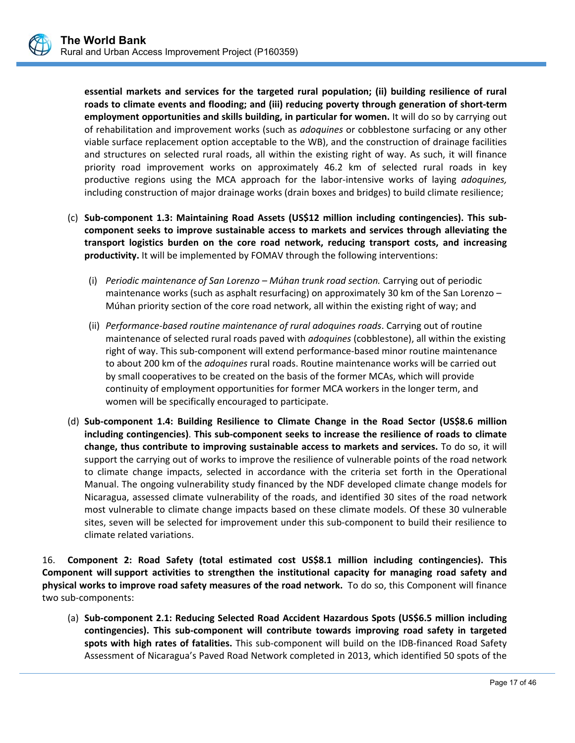**essential markets and services for the targeted rural population; (ii) building resilience of rural roads to climate events and flooding; and (iii) reducing poverty through generation of short‐term employment opportunities and skills building, in particular for women.** It will do so by carrying out of rehabilitation and improvement works (such as *adoquines* or cobblestone surfacing or any other viable surface replacement option acceptable to the WB), and the construction of drainage facilities and structures on selected rural roads, all within the existing right of way. As such, it will finance priority road improvement works on approximately 46.2 km of selected rural roads in key productive regions using the MCA approach for the labor-intensive works of laying *adoquines*, including construction of major drainage works (drain boxes and bridges) to build climate resilience;

- (c) **Sub‐component 1.3: Maintaining Road Assets (US\$12 million including contingencies). This sub‐ component seeks to improve sustainable access to markets and services through alleviating the transport logistics burden on the core road network, reducing transport costs, and increasing productivity.** It will be implemented by FOMAV through the following interventions:
	- (i) *Periodic maintenance of San Lorenzo Múhan trunk road section.* Carrying out of periodic maintenance works (such as asphalt resurfacing) on approximately 30 km of the San Lorenzo – Múhan priority section of the core road network, all within the existing right of way; and
	- (ii) *Performance‐based routine maintenance of rural adoquines roads*. Carrying out of routine maintenance of selected rural roads paved with *adoquines* (cobblestone), all within the existing right of way. This sub‐component will extend performance‐based minor routine maintenance to about 200 km of the *adoquines* rural roads. Routine maintenance works will be carried out by small cooperatives to be created on the basis of the former MCAs, which will provide continuity of employment opportunities for former MCA workers in the longer term, and women will be specifically encouraged to participate.
- (d) **Sub‐component 1.4: Building Resilience to Climate Change in the Road Sector (US\$8.6 million including contingencies)**. **This sub‐component seeks to increase the resilience of roads to climate change, thus contribute to improving sustainable access to markets and services.** To do so, it will support the carrying out of works to improve the resilience of vulnerable points of the road network to climate change impacts, selected in accordance with the criteria set forth in the Operational Manual. The ongoing vulnerability study financed by the NDF developed climate change models for Nicaragua, assessed climate vulnerability of the roads, and identified 30 sites of the road network most vulnerable to climate change impacts based on these climate models. Of these 30 vulnerable sites, seven will be selected for improvement under this sub‐component to build their resilience to climate related variations.

16. **Component 2: Road Safety (total estimated cost US\$8.1 million including contingencies). This Component will support activities to strengthen the institutional capacity for managing road safety and physical works to improve road safety measures of the road network.**  To do so, this Component will finance two sub‐components:

(a) **Sub‐component 2.1: Reducing Selected Road Accident Hazardous Spots (US\$6.5 million including contingencies). This sub‐component will contribute towards improving road safety in targeted spots with high rates of fatalities.** This sub‐component will build on the IDB‐financed Road Safety Assessment of Nicaragua's Paved Road Network completed in 2013, which identified 50 spots of the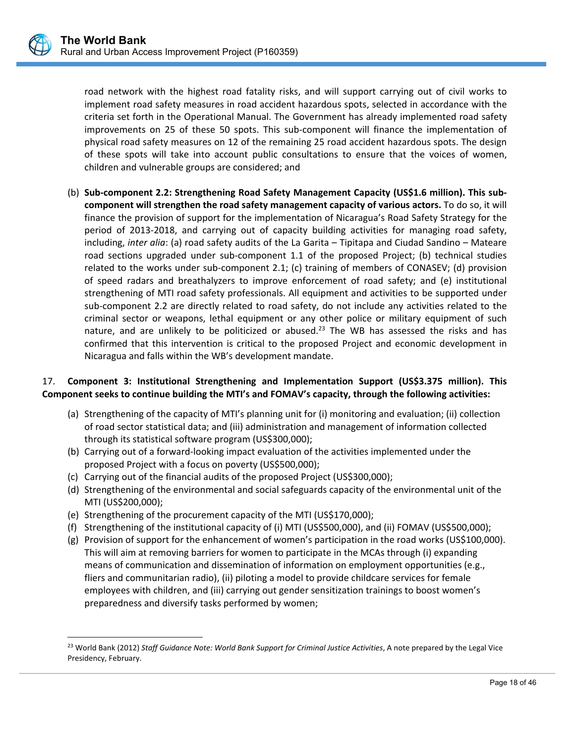road network with the highest road fatality risks, and will support carrying out of civil works to implement road safety measures in road accident hazardous spots, selected in accordance with the criteria set forth in the Operational Manual. The Government has already implemented road safety improvements on 25 of these 50 spots. This sub-component will finance the implementation of physical road safety measures on 12 of the remaining 25 road accident hazardous spots. The design of these spots will take into account public consultations to ensure that the voices of women, children and vulnerable groups are considered; and

(b) **Sub‐component 2.2: Strengthening Road Safety Management Capacity (US\$1.6 million). This sub‐ component will strengthen the road safety management capacity of various actors.** To do so, it will finance the provision of support for the implementation of Nicaragua's Road Safety Strategy for the period of 2013-2018, and carrying out of capacity building activities for managing road safety, including, *inter alia*: (a) road safety audits of the La Garita – Tipitapa and Ciudad Sandino – Mateare road sections upgraded under sub-component 1.1 of the proposed Project; (b) technical studies related to the works under sub-component 2.1; (c) training of members of CONASEV; (d) provision of speed radars and breathalyzers to improve enforcement of road safety; and (e) institutional strengthening of MTI road safety professionals. All equipment and activities to be supported under sub-component 2.2 are directly related to road safety, do not include any activities related to the criminal sector or weapons, lethal equipment or any other police or military equipment of such nature, and are unlikely to be politicized or abused.<sup>23</sup> The WB has assessed the risks and has confirmed that this intervention is critical to the proposed Project and economic development in Nicaragua and falls within the WB's development mandate.

# 17. **Component 3: Institutional Strengthening and Implementation Support (US\$3.375 million). This Component seeks to continue building the MTI's and FOMAV's capacity, through the following activities:**

- (a) Strengthening of the capacity of MTI's planning unit for (i) monitoring and evaluation; (ii) collection of road sector statistical data; and (iii) administration and management of information collected through its statistical software program (US\$300,000);
- (b) Carrying out of a forward‐looking impact evaluation of the activities implemented under the proposed Project with a focus on poverty (US\$500,000);
- (c) Carrying out of the financial audits of the proposed Project (US\$300,000);
- (d) Strengthening of the environmental and social safeguards capacity of the environmental unit of the MTI (US\$200,000);
- (e) Strengthening of the procurement capacity of the MTI (US\$170,000);

 $\overline{a}$ 

- (f) Strengthening of the institutional capacity of (i) MTI (US\$500,000), and (ii) FOMAV (US\$500,000);
- (g) Provision of support for the enhancement of women's participation in the road works (US\$100,000). This will aim at removing barriers for women to participate in the MCAs through (i) expanding means of communication and dissemination of information on employment opportunities (e.g., fliers and communitarian radio), (ii) piloting a model to provide childcare services for female employees with children, and (iii) carrying out gender sensitization trainings to boost women's preparedness and diversify tasks performed by women;

l, 23 World Bank (2012) *Staff Guidance Note: World Bank Support for Criminal Justice Activities*, A note prepared by the Legal Vice Presidency, February.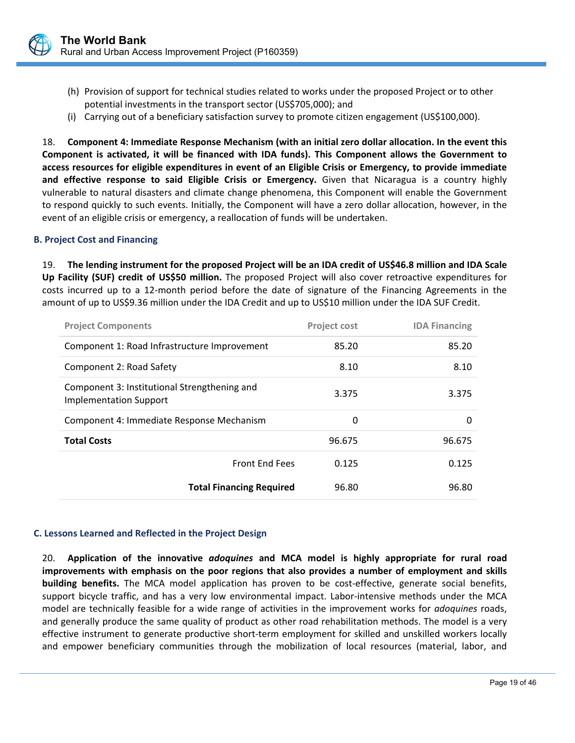

- (h) Provision of support for technical studies related to works under the proposed Project or to other potential investments in the transport sector (US\$705,000); and
- (i) Carrying out of a beneficiary satisfaction survey to promote citizen engagement (US\$100,000).

18. **Component 4: Immediate Response Mechanism (with an initial zero dollar allocation. In the event this Component is activated, it will be financed with IDA funds). This Component allows the Government to access resources for eligible expenditures in event of an Eligible Crisis or Emergency, to provide immediate and effective response to said Eligible Crisis or Emergency.**  Given that Nicaragua is a country highly vulnerable to natural disasters and climate change phenomena, this Component will enable the Government to respond quickly to such events. Initially, the Component will have a zero dollar allocation, however, in the event of an eligible crisis or emergency, a reallocation of funds will be undertaken.

# **B. Project Cost and Financing**

19. **The lending instrument for the proposed Project will be an IDA credit of US\$46.8 million and IDA Scale Up Facility (SUF) credit of US\$50 million.** The proposed Project will also cover retroactive expenditures for costs incurred up to a 12‐month period before the date of signature of the Financing Agreements in the amount of up to US\$9.36 million under the IDA Credit and up to US\$10 million under the IDA SUF Credit.

| <b>Project Components</b>                                                     | <b>Project cost</b> | <b>IDA Financing</b> |
|-------------------------------------------------------------------------------|---------------------|----------------------|
| Component 1: Road Infrastructure Improvement                                  | 85.20               | 85.20                |
| Component 2: Road Safety                                                      | 8.10                | 8.10                 |
| Component 3: Institutional Strengthening and<br><b>Implementation Support</b> | 3.375               | 3.375                |
| Component 4: Immediate Response Mechanism                                     | 0                   | 0                    |
| <b>Total Costs</b>                                                            | 96.675              | 96.675               |
| <b>Front End Fees</b>                                                         | 0.125               | 0.125                |
| <b>Total Financing Required</b>                                               | 96.80               | 96.80                |

#### **C. Lessons Learned and Reflected in the Project Design**

20. **Application of the innovative**  *adoquines* **and MCA model is highly appropriate for rural road improvements with emphasis on the poor regions that also provides a number of employment and skills building benefits.** The MCA model application has proven to be cost-effective, generate social benefits, support bicycle traffic, and has a very low environmental impact. Labor-intensive methods under the MCA model are technically feasible for a wide range of activities in the improvement works for *adoquines* roads, and generally produce the same quality of product as other road rehabilitation methods. The model is a very effective instrument to generate productive short-term employment for skilled and unskilled workers locally and empower beneficiary communities through the mobilization of local resources (material, labor, and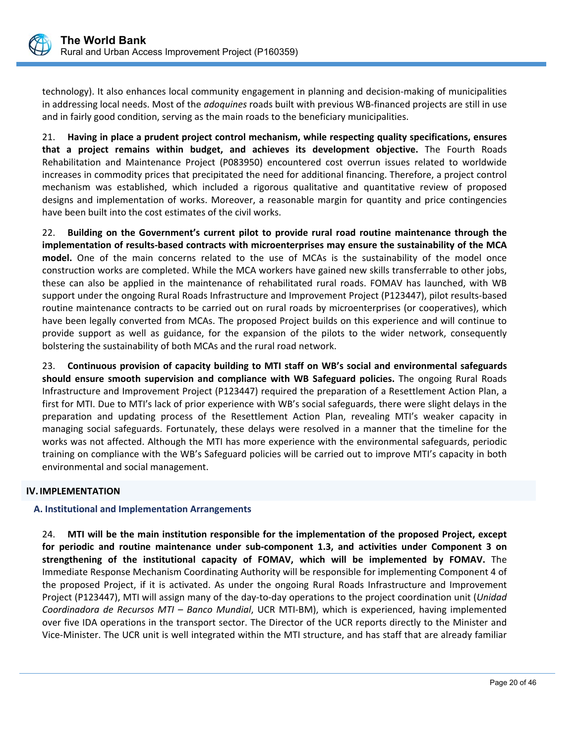

technology). It also enhances local community engagement in planning and decision-making of municipalities in addressing local needs. Most of the *adoquines* roads built with previous WB‐financed projects are still in use and in fairly good condition, serving as the main roads to the beneficiary municipalities.

21. **Having in place a prudent project control mechanism, while respecting quality specifications, ensures that a project remains within budget, and achieves its development objective.** The Fourth Roads Rehabilitation and Maintenance Project (P083950) encountered cost overrun issues related to worldwide increases in commodity prices that precipitated the need for additional financing. Therefore, a project control mechanism was established, which included a rigorous qualitative and quantitative review of proposed designs and implementation of works. Moreover, a reasonable margin for quantity and price contingencies have been built into the cost estimates of the civil works.

22. **Building on the Government's current pilot to provide rural road routine maintenance through the implementation of results‐based contracts with microenterprises may ensure the sustainability of the MCA**  model. One of the main concerns related to the use of MCAs is the sustainability of the model once construction works are completed. While the MCA workers have gained new skills transferrable to other jobs, these can also be applied in the maintenance of rehabilitated rural roads. FOMAV has launched, with WB support under the ongoing Rural Roads Infrastructure and Improvement Project (P123447), pilot results‐based routine maintenance contracts to be carried out on rural roads by microenterprises (or cooperatives), which have been legally converted from MCAs. The proposed Project builds on this experience and will continue to provide support as well as guidance, for the expansion of the pilots to the wider network, consequently bolstering the sustainability of both MCAs and the rural road network.

23. **Continuous provision of capacity building to MTI staff on WB's social and environmental safeguards should ensure smooth supervision and compliance with WB Safeguard policies.** The ongoing Rural Roads Infrastructure and Improvement Project (P123447) required the preparation of a Resettlement Action Plan, a first for MTI. Due to MTI's lack of prior experience with WB's social safeguards, there were slight delays in the preparation and updating process of the Resettlement Action Plan, revealing MTI's weaker capacity in managing social safeguards. Fortunately, these delays were resolved in a manner that the timeline for the works was not affected. Although the MTI has more experience with the environmental safeguards, periodic training on compliance with the WB's Safeguard policies will be carried out to improve MTI's capacity in both environmental and social management.

# **IV.IMPLEMENTATION**

# **A. Institutional and Implementation Arrangements**

24. **MTI will be the main institution responsible for the implementation of the proposed Project, except for periodic and routine maintenance under sub‐component 1.3, and activities under Component 3 on strengthening of the institutional capacity of FOMAV, which will be implemented by FOMAV.** The Immediate Response Mechanism Coordinating Authority will be responsible for implementing Component 4 of the proposed Project, if it is activated. As under the ongoing Rural Roads Infrastructure and Improvement Project (P123447), MTI will assign many of the day‐to‐day operations to the project coordination unit (*Unidad Coordinadora de Recursos MTI – Banco Mundial*, UCR MTI‐BM), which is experienced, having implemented over five IDA operations in the transport sector. The Director of the UCR reports directly to the Minister and Vice‐Minister. The UCR unit is well integrated within the MTI structure, and has staff that are already familiar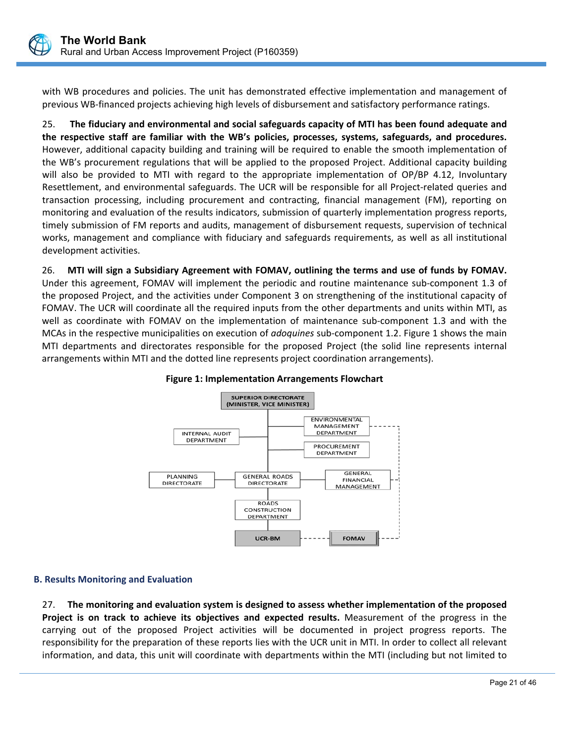

with WB procedures and policies. The unit has demonstrated effective implementation and management of previous WB‐financed projects achieving high levels of disbursement and satisfactory performance ratings.

25. **The fiduciary and environmental and social safeguards capacity of MTI has been found adequate and the respective staff are familiar with the WB's policies, processes, systems, safeguards, and procedures.**  However, additional capacity building and training will be required to enable the smooth implementation of the WB's procurement regulations that will be applied to the proposed Project. Additional capacity building will also be provided to MTI with regard to the appropriate implementation of OP/BP 4.12, Involuntary Resettlement, and environmental safeguards. The UCR will be responsible for all Project-related queries and transaction processing, including procurement and contracting, financial management (FM), reporting on monitoring and evaluation of the results indicators, submission of quarterly implementation progress reports, timely submission of FM reports and audits, management of disbursement requests, supervision of technical works, management and compliance with fiduciary and safeguards requirements, as well as all institutional development activities.

26. **MTI will sign a Subsidiary Agreement with FOMAV, outlining the terms and use of funds by FOMAV.** Under this agreement, FOMAV will implement the periodic and routine maintenance sub‐component 1.3 of the proposed Project, and the activities under Component 3 on strengthening of the institutional capacity of FOMAV. The UCR will coordinate all the required inputs from the other departments and units within MTI, as well as coordinate with FOMAV on the implementation of maintenance sub-component 1.3 and with the MCAs in the respective municipalities on execution of *adoquines* sub‐component 1.2. Figure 1 shows the main MTI departments and directorates responsible for the proposed Project (the solid line represents internal arrangements within MTI and the dotted line represents project coordination arrangements).



# **Figure 1: Implementation Arrangements Flowchart**

# **B. Results Monitoring and Evaluation**

27. **The monitoring and evaluation system is designed to assess whether implementation of the proposed Project is on track to achieve its objectives and expected results.** Measurement of the progress in the carrying out of the proposed Project activities will be documented in project progress reports. The responsibility for the preparation of these reports lies with the UCR unit in MTI. In order to collect all relevant information, and data, this unit will coordinate with departments within the MTI (including but not limited to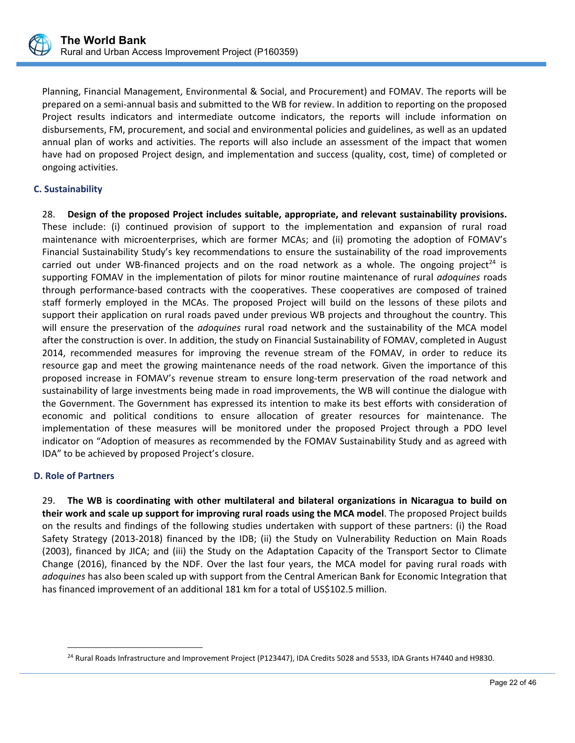

Planning, Financial Management, Environmental & Social, and Procurement) and FOMAV. The reports will be prepared on a semi‐annual basis and submitted to the WB for review. In addition to reporting on the proposed Project results indicators and intermediate outcome indicators, the reports will include information on disbursements, FM, procurement, and social and environmental policies and guidelines, as well as an updated annual plan of works and activities. The reports will also include an assessment of the impact that women have had on proposed Project design, and implementation and success (quality, cost, time) of completed or ongoing activities.

# **C. Sustainability**

28. **Design of the proposed Project includes suitable, appropriate, and relevant sustainability provisions.** These include: (i) continued provision of support to the implementation and expansion of rural road maintenance with microenterprises, which are former MCAs; and (ii) promoting the adoption of FOMAV's Financial Sustainability Study's key recommendations to ensure the sustainability of the road improvements carried out under WB-financed projects and on the road network as a whole. The ongoing project<sup>24</sup> is supporting FOMAV in the implementation of pilots for minor routine maintenance of rural *adoquines* roads through performance‐based contracts with the cooperatives. These cooperatives are composed of trained staff formerly employed in the MCAs. The proposed Project will build on the lessons of these pilots and support their application on rural roads paved under previous WB projects and throughout the country. This will ensure the preservation of the *adoquines* rural road network and the sustainability of the MCA model after the construction is over. In addition, the study on Financial Sustainability of FOMAV, completed in August 2014, recommended measures for improving the revenue stream of the FOMAV, in order to reduce its resource gap and meet the growing maintenance needs of the road network. Given the importance of this proposed increase in FOMAV's revenue stream to ensure long-term preservation of the road network and sustainability of large investments being made in road improvements, the WB will continue the dialogue with the Government. The Government has expressed its intention to make its best efforts with consideration of economic and political conditions to ensure allocation of greater resources for maintenance. The implementation of these measures will be monitored under the proposed Project through a PDO level indicator on "Adoption of measures as recommended by the FOMAV Sustainability Study and as agreed with IDA" to be achieved by proposed Project's closure.

#### **D. Role of Partners**

 $\overline{a}$ 

29. **The WB is coordinating with other multilateral and bilateral organizations in Nicaragua to build on their work and scale up support for improving rural roads using the MCA model**. The proposed Project builds on the results and findings of the following studies undertaken with support of these partners: (i) the Road Safety Strategy (2013‐2018) financed by the IDB; (ii) the Study on Vulnerability Reduction on Main Roads (2003), financed by JICA; and (iii) the Study on the Adaptation Capacity of the Transport Sector to Climate Change (2016), financed by the NDF. Over the last four years, the MCA model for paving rural roads with *adoquines* has also been scaled up with support from the Central American Bank for Economic Integration that has financed improvement of an additional 181 km for a total of US\$102.5 million.

<sup>&</sup>lt;sup>24</sup> Rural Roads Infrastructure and Improvement Project (P123447), IDA Credits 5028 and 5533, IDA Grants H7440 and H9830.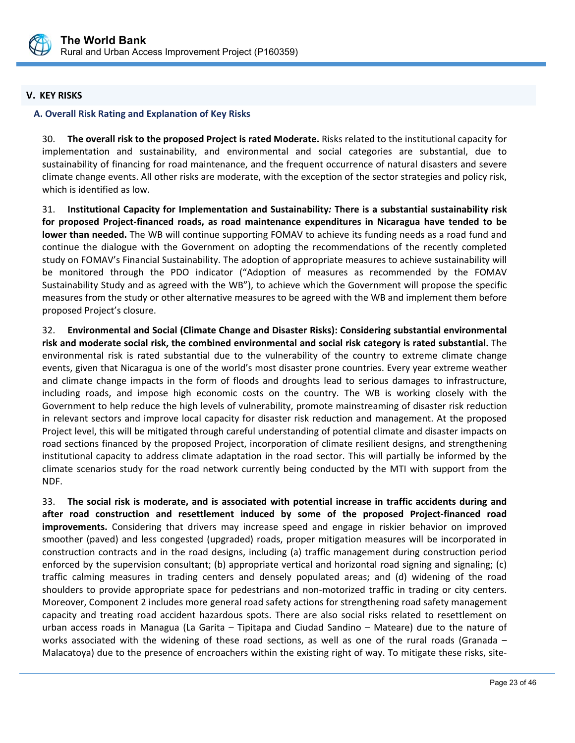

# **V. KEY RISKS**

# **A. Overall Risk Rating and Explanation of Key Risks**

30. **The overall risk to the proposed Project is rated Moderate.** Risks related to the institutional capacity for implementation and sustainability, and environmental and social categories are substantial, due to sustainability of financing for road maintenance, and the frequent occurrence of natural disasters and severe climate change events. All other risks are moderate, with the exception of the sector strategies and policy risk, which is identified as low.

31. **Institutional Capacity for Implementation and Sustainability***:* **There is a substantial sustainability risk for proposed Project‐financed roads, as road maintenance expenditures in Nicaragua have tended to be lower than needed.** The WB will continue supporting FOMAV to achieve its funding needs as a road fund and continue the dialogue with the Government on adopting the recommendations of the recently completed study on FOMAV's Financial Sustainability. The adoption of appropriate measures to achieve sustainability will be monitored through the PDO indicator ("Adoption of measures as recommended by the FOMAV Sustainability Study and as agreed with the WB"), to achieve which the Government will propose the specific measures from the study or other alternative measures to be agreed with the WB and implement them before proposed Project's closure.

32. **Environmental and Social (Climate Change and Disaster Risks): Considering substantial environmental risk and moderate social risk, the combined environmental and social risk category is rated substantial.** The environmental risk is rated substantial due to the vulnerability of the country to extreme climate change events, given that Nicaragua is one of the world's most disaster prone countries. Every year extreme weather and climate change impacts in the form of floods and droughts lead to serious damages to infrastructure, including roads, and impose high economic costs on the country. The WB is working closely with the Government to help reduce the high levels of vulnerability, promote mainstreaming of disaster risk reduction in relevant sectors and improve local capacity for disaster risk reduction and management. At the proposed Project level, this will be mitigated through careful understanding of potential climate and disaster impacts on road sections financed by the proposed Project, incorporation of climate resilient designs, and strengthening institutional capacity to address climate adaptation in the road sector. This will partially be informed by the climate scenarios study for the road network currently being conducted by the MTI with support from the NDF.

33. **The social risk is moderate, and is associated with potential increase in traffic accidents during and after road construction and resettlement induced by some of the proposed Project‐financed road improvements.**  Considering that drivers may increase speed and engage in riskier behavior on improved smoother (paved) and less congested (upgraded) roads, proper mitigation measures will be incorporated in construction contracts and in the road designs, including (a) traffic management during construction period enforced by the supervision consultant; (b) appropriate vertical and horizontal road signing and signaling; (c) traffic calming measures in trading centers and densely populated areas; and (d) widening of the road shoulders to provide appropriate space for pedestrians and non‐motorized traffic in trading or city centers. Moreover, Component 2 includes more general road safety actions for strengthening road safety management capacity and treating road accident hazardous spots. There are also social risks related to resettlement on urban access roads in Managua (La Garita – Tipitapa and Ciudad Sandino – Mateare) due to the nature of works associated with the widening of these road sections, as well as one of the rural roads (Granada  $-$ Malacatoya) due to the presence of encroachers within the existing right of way. To mitigate these risks, site-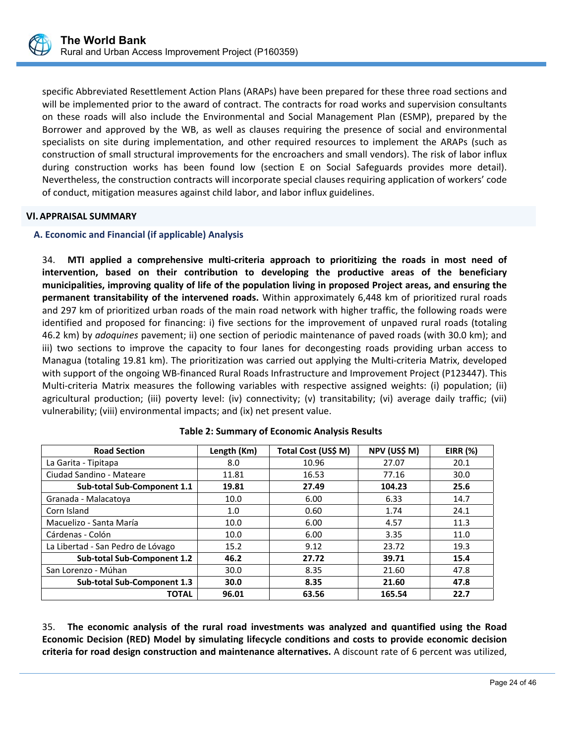

specific Abbreviated Resettlement Action Plans (ARAPs) have been prepared for these three road sections and will be implemented prior to the award of contract. The contracts for road works and supervision consultants on these roads will also include the Environmental and Social Management Plan (ESMP), prepared by the Borrower and approved by the WB, as well as clauses requiring the presence of social and environmental specialists on site during implementation, and other required resources to implement the ARAPs (such as construction of small structural improvements for the encroachers and small vendors). The risk of labor influx during construction works has been found low (section E on Social Safeguards provides more detail). Nevertheless, the construction contracts will incorporate special clauses requiring application of workers' code of conduct, mitigation measures against child labor, and labor influx guidelines.

# **VI.APPRAISAL SUMMARY**

# **A. Economic and Financial (if applicable) Analysis**

34. **MTI applied a comprehensive multi‐criteria approach to prioritizing the roads in most need of intervention, based on their contribution to developing the productive areas of the beneficiary municipalities, improving quality of life of the population living in proposed Project areas, and ensuring the permanent transitability of the intervened roads.** Within approximately 6,448 km of prioritized rural roads and 297 km of prioritized urban roads of the main road network with higher traffic, the following roads were identified and proposed for financing: i) five sections for the improvement of unpaved rural roads (totaling 46.2 km) by *adoquines* pavement; ii) one section of periodic maintenance of paved roads (with 30.0 km); and iii) two sections to improve the capacity to four lanes for decongesting roads providing urban access to Managua (totaling 19.81 km). The prioritization was carried out applying the Multi‐criteria Matrix, developed with support of the ongoing WB‐financed Rural Roads Infrastructure and Improvement Project (P123447). This Multi-criteria Matrix measures the following variables with respective assigned weights: (i) population; (ii) agricultural production; (iii) poverty level: (iv) connectivity; (v) transitability; (vi) average daily traffic; (vii) vulnerability; (viii) environmental impacts; and (ix) net present value.

| <b>Road Section</b>               | Length (Km) | Total Cost (US\$ M) | NPV (US\$ M) | <b>EIRR (%)</b> |
|-----------------------------------|-------------|---------------------|--------------|-----------------|
| La Garita - Tipitapa              | 8.0         | 10.96               | 27.07        | 20.1            |
| Ciudad Sandino - Mateare          | 11.81       | 16.53               | 77.16        | 30.0            |
| Sub-total Sub-Component 1.1       | 19.81       | 27.49               | 104.23       | 25.6            |
| Granada - Malacatoya              | 10.0        | 6.00                | 6.33         | 14.7            |
| Corn Island                       | 1.0         | 0.60                | 1.74         | 24.1            |
| Macuelizo - Santa María           | 10.0        | 6.00                | 4.57         | 11.3            |
| Cárdenas - Colón                  | 10.0        | 6.00                | 3.35         | 11.0            |
| La Libertad - San Pedro de Lóvago | 15.2        | 9.12                | 23.72        | 19.3            |
| Sub-total Sub-Component 1.2       | 46.2        | 27.72               | 39.71        | 15.4            |
| San Lorenzo - Múhan               | 30.0        | 8.35                | 21.60        | 47.8            |
| Sub-total Sub-Component 1.3       | 30.0        | 8.35                | 21.60        | 47.8            |
| <b>TOTAL</b>                      | 96.01       | 63.56               | 165.54       | 22.7            |

35. **The economic analysis of the rural road investments was analyzed and quantified using the Road Economic Decision (RED) Model by simulating lifecycle conditions and costs to provide economic decision criteria for road design construction and maintenance alternatives.** A discount rate of 6 percent was utilized,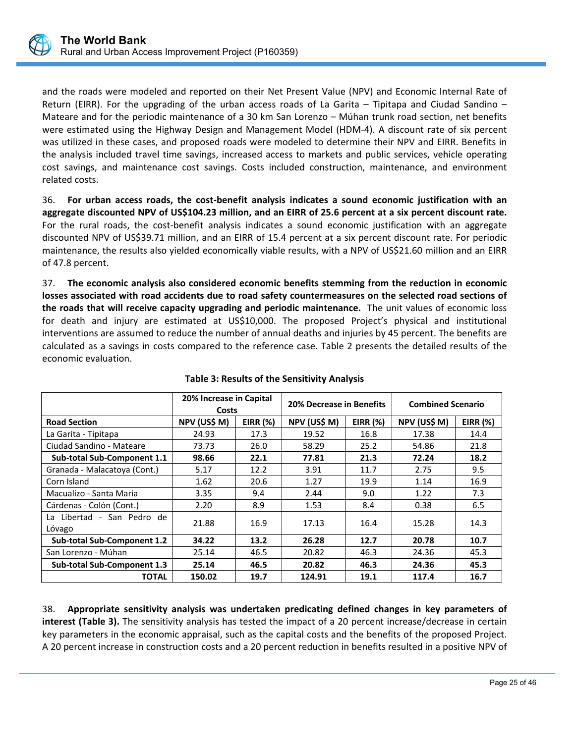

and the roads were modeled and reported on their Net Present Value (NPV) and Economic Internal Rate of Return (EIRR). For the upgrading of the urban access roads of La Garita  $-$  Tipitapa and Ciudad Sandino  $-$ Mateare and for the periodic maintenance of a 30 km San Lorenzo – Múhan trunk road section, net benefits were estimated using the Highway Design and Management Model (HDM‐4). A discount rate of six percent was utilized in these cases, and proposed roads were modeled to determine their NPV and EIRR. Benefits in the analysis included travel time savings, increased access to markets and public services, vehicle operating cost savings, and maintenance cost savings. Costs included construction, maintenance, and environment related costs.

36. **For urban access roads, the cost‐benefit analysis indicates a sound economic justification with an aggregate discounted NPV of US\$104.23 million, and an EIRR of 25.6 percent at a six percent discount rate.** For the rural roads, the cost-benefit analysis indicates a sound economic justification with an aggregate discounted NPV of US\$39.71 million, and an EIRR of 15.4 percent at a six percent discount rate. For periodic maintenance, the results also yielded economically viable results, with a NPV of US\$21.60 million and an EIRR of 47.8 percent.

37. **The economic analysis also considered economic benefits stemming from the reduction in economic losses associated with road accidents due to road safety countermeasures on the selected road sections of the roads that will receive capacity upgrading and periodic maintenance.** The unit values of economic loss for death and injury are estimated at US\$10,000. The proposed Project's physical and institutional interventions are assumed to reduce the number of annual deaths and injuries by 45 percent. The benefits are calculated as a savings in costs compared to the reference case. Table 2 presents the detailed results of the economic evaluation.

|                                          | 20% Increase in Capital<br>Costs |                 | 20% Decrease in Benefits |                 | <b>Combined Scenario</b> |            |
|------------------------------------------|----------------------------------|-----------------|--------------------------|-----------------|--------------------------|------------|
| <b>Road Section</b>                      | NPV (US\$ M)                     | <b>EIRR (%)</b> | NPV (US\$ M)             | <b>EIRR</b> (%) | NPV (US\$ M)             | EIRR $(%)$ |
| La Garita - Tipitapa                     | 24.93                            | 17.3            | 19.52                    | 16.8            | 17.38                    | 14.4       |
| Ciudad Sandino - Mateare                 | 73.73                            | 26.0            | 58.29                    | 25.2            | 54.86                    | 21.8       |
| Sub-total Sub-Component 1.1              | 98.66                            | 22.1            | 77.81                    | 21.3            | 72.24                    | 18.2       |
| Granada - Malacatova (Cont.)             | 5.17                             | 12.2            | 3.91                     | 11.7            | 2.75                     | 9.5        |
| Corn Island                              | 1.62                             | 20.6            | 1.27                     | 19.9            | 1.14                     | 16.9       |
| Macualizo - Santa María                  | 3.35                             | 9.4             | 2.44                     | 9.0             | 1.22                     | 7.3        |
| Cárdenas - Colón (Cont.)                 | 2.20                             | 8.9             | 1.53                     | 8.4             | 0.38                     | 6.5        |
| Libertad - San Pedro de<br>l a<br>Lóvago | 21.88                            | 16.9            | 17.13                    | 16.4            | 15.28                    | 14.3       |
| Sub-total Sub-Component 1.2              | 34.22                            | 13.2            | 26.28                    | 12.7            | 20.78                    | 10.7       |
| San Lorenzo - Múhan                      | 25.14                            | 46.5            | 20.82                    | 46.3            | 24.36                    | 45.3       |
| Sub-total Sub-Component 1.3              | 25.14                            | 46.5            | 20.82                    | 46.3            | 24.36                    | 45.3       |
| <b>TOTAL</b>                             | 150.02                           | 19.7            | 124.91                   | 19.1            | 117.4                    | 16.7       |

# **Table 3: Results of the Sensitivity Analysis**

38. **Appropriate sensitivity analysis was undertaken predicating defined changes in key parameters of interest (Table 3).** The sensitivity analysis has tested the impact of a 20 percent increase/decrease in certain key parameters in the economic appraisal, such as the capital costs and the benefits of the proposed Project. A 20 percent increase in construction costs and a 20 percent reduction in benefits resulted in a positive NPV of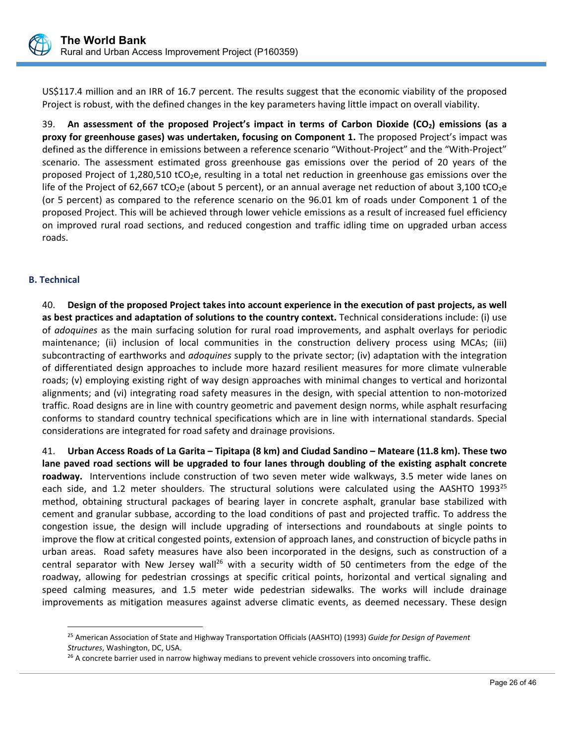

US\$117.4 million and an IRR of 16.7 percent. The results suggest that the economic viability of the proposed Project is robust, with the defined changes in the key parameters having little impact on overall viability.

39. **An assessment of the proposed Project's impact in terms of Carbon Dioxide (CO2) emissions (as a proxy for greenhouse gases) was undertaken, focusing on Component 1.** The proposed Project's impact was defined as the difference in emissions between a reference scenario "Without‐Project" and the "With‐Project" scenario. The assessment estimated gross greenhouse gas emissions over the period of 20 years of the proposed Project of 1,280,510 tCO<sub>2</sub>e, resulting in a total net reduction in greenhouse gas emissions over the life of the Project of 62,667 tCO<sub>2</sub>e (about 5 percent), or an annual average net reduction of about 3,100 tCO<sub>2</sub>e (or 5 percent) as compared to the reference scenario on the 96.01 km of roads under Component 1 of the proposed Project. This will be achieved through lower vehicle emissions as a result of increased fuel efficiency on improved rural road sections, and reduced congestion and traffic idling time on upgraded urban access roads.

# **B. Technical**

 $\overline{a}$ 

40. **Design of the proposed Project takes into account experience in the execution of past projects, as well as best practices and adaptation of solutions to the country context.** Technical considerations include: (i) use of *adoquines* as the main surfacing solution for rural road improvements, and asphalt overlays for periodic maintenance; (ii) inclusion of local communities in the construction delivery process using MCAs; (iii) subcontracting of earthworks and *adoquines* supply to the private sector; (iv) adaptation with the integration of differentiated design approaches to include more hazard resilient measures for more climate vulnerable roads; (v) employing existing right of way design approaches with minimal changes to vertical and horizontal alignments; and (vi) integrating road safety measures in the design, with special attention to non‐motorized traffic. Road designs are in line with country geometric and pavement design norms, while asphalt resurfacing conforms to standard country technical specifications which are in line with international standards. Special considerations are integrated for road safety and drainage provisions.

41. **Urban Access Roads of La Garita – Tipitapa (8 km) and Ciudad Sandino – Mateare (11.8 km). These two lane paved road sections will be upgraded to four lanes through doubling of the existing asphalt concrete**  roadway. Interventions include construction of two seven meter wide walkways, 3.5 meter wide lanes on each side, and 1.2 meter shoulders. The structural solutions were calculated using the AASHTO  $1993^{25}$ method, obtaining structural packages of bearing layer in concrete asphalt, granular base stabilized with cement and granular subbase, according to the load conditions of past and projected traffic. To address the congestion issue, the design will include upgrading of intersections and roundabouts at single points to improve the flow at critical congested points, extension of approach lanes, and construction of bicycle paths in urban areas. Road safety measures have also been incorporated in the designs, such as construction of a central separator with New Jersey wall<sup>26</sup> with a security width of 50 centimeters from the edge of the roadway, allowing for pedestrian crossings at specific critical points, horizontal and vertical signaling and speed calming measures, and 1.5 meter wide pedestrian sidewalks. The works will include drainage improvements as mitigation measures against adverse climatic events, as deemed necessary. These design

<sup>25</sup> American Association of State and Highway Transportation Officials (AASHTO) (1993) *Guide for Design of Pavement Structures*, Washington, DC, USA.

<sup>&</sup>lt;sup>26</sup> A concrete barrier used in narrow highway medians to prevent vehicle crossovers into oncoming traffic.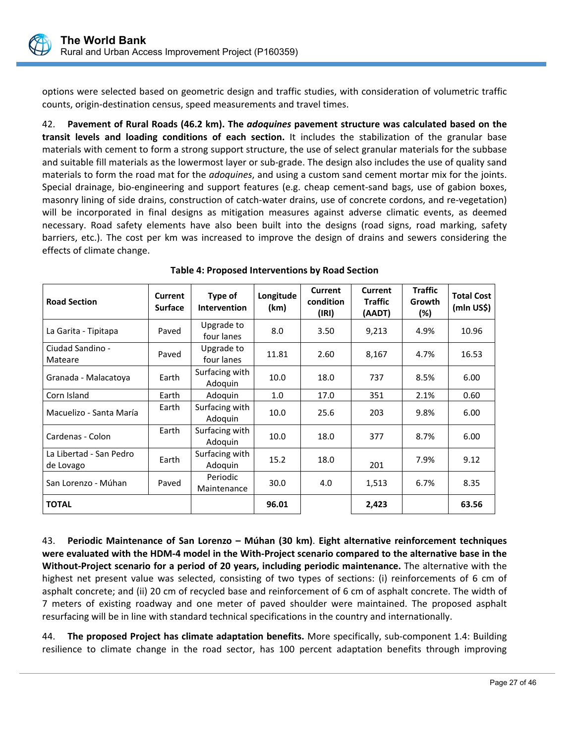

options were selected based on geometric design and traffic studies, with consideration of volumetric traffic counts, origin‐destination census, speed measurements and travel times.

42. **Pavement of Rural Roads (46.2 km). The** *adoquines* **pavement structure was calculated based on the**  transit levels and loading conditions of each section. It includes the stabilization of the granular base materials with cement to form a strong support structure, the use of select granular materials for the subbase and suitable fill materials as the lowermost layer or sub‐grade. The design also includes the use of quality sand materials to form the road mat for the *adoquines*, and using a custom sand cement mortar mix for the joints. Special drainage, bio-engineering and support features (e.g. cheap cement-sand bags, use of gabion boxes, masonry lining of side drains, construction of catch‐water drains, use of concrete cordons, and re‐vegetation) will be incorporated in final designs as mitigation measures against adverse climatic events, as deemed necessary. Road safety elements have also been built into the designs (road signs, road marking, safety barriers, etc.). The cost per km was increased to improve the design of drains and sewers considering the effects of climate change.

| <b>Road Section</b>                  | <b>Current</b><br><b>Surface</b> | Type of<br><b>Intervention</b> | Longitude<br>(km) | <b>Current</b><br>condition<br>(IRI) | <b>Current</b><br><b>Traffic</b><br>(AADT) | <b>Traffic</b><br>Growth<br>(%) | <b>Total Cost</b><br>(mln US\$) |
|--------------------------------------|----------------------------------|--------------------------------|-------------------|--------------------------------------|--------------------------------------------|---------------------------------|---------------------------------|
| La Garita - Tipitapa                 | Paved                            | Upgrade to<br>four lanes       | 8.0               | 3.50                                 | 9,213                                      | 4.9%                            | 10.96                           |
| Ciudad Sandino -<br>Mateare          | Paved                            | Upgrade to<br>four lanes       | 11.81             | 2.60                                 | 8,167                                      | 4.7%                            | 16.53                           |
| Granada - Malacatoya                 | Earth                            | Surfacing with<br>Adoquin      | 10.0              | 18.0                                 | 737                                        | 8.5%                            | 6.00                            |
| Corn Island                          | Earth                            | Adoquin                        | 1.0               | 17.0                                 | 351                                        | 2.1%                            | 0.60                            |
| Macuelizo - Santa María              | Earth                            | Surfacing with<br>Adoquin      | 10.0              | 25.6                                 | 203                                        | 9.8%                            | 6.00                            |
| Cardenas - Colon                     | Earth                            | Surfacing with<br>Adoquin      | 10.0              | 18.0                                 | 377                                        | 8.7%                            | 6.00                            |
| La Libertad - San Pedro<br>de Lovago | Earth                            | Surfacing with<br>Adoquin      | 15.2              | 18.0                                 | 201                                        | 7.9%                            | 9.12                            |
| San Lorenzo - Múhan                  | Paved                            | Periodic<br>Maintenance        | 30.0              | 4.0                                  | 1,513                                      | 6.7%                            | 8.35                            |
| <b>TOTAL</b>                         |                                  |                                | 96.01             |                                      | 2,423                                      |                                 | 63.56                           |

# **Table 4: Proposed Interventions by Road Section**

43. **Periodic Maintenance of San Lorenzo – Múhan (30 km)**. **Eight alternative reinforcement techniques were evaluated with the HDM‐4 model in the With‐Project scenario compared to the alternative base in the Without‐Project scenario for a period of 20 years, including periodic maintenance.** The alternative with the highest net present value was selected, consisting of two types of sections: (i) reinforcements of 6 cm of asphalt concrete; and (ii) 20 cm of recycled base and reinforcement of 6 cm of asphalt concrete. The width of 7 meters of existing roadway and one meter of paved shoulder were maintained. The proposed asphalt resurfacing will be in line with standard technical specifications in the country and internationally.

44. **The proposed Project has climate adaptation benefits.** More specifically, sub‐component 1.4: Building resilience to climate change in the road sector, has 100 percent adaptation benefits through improving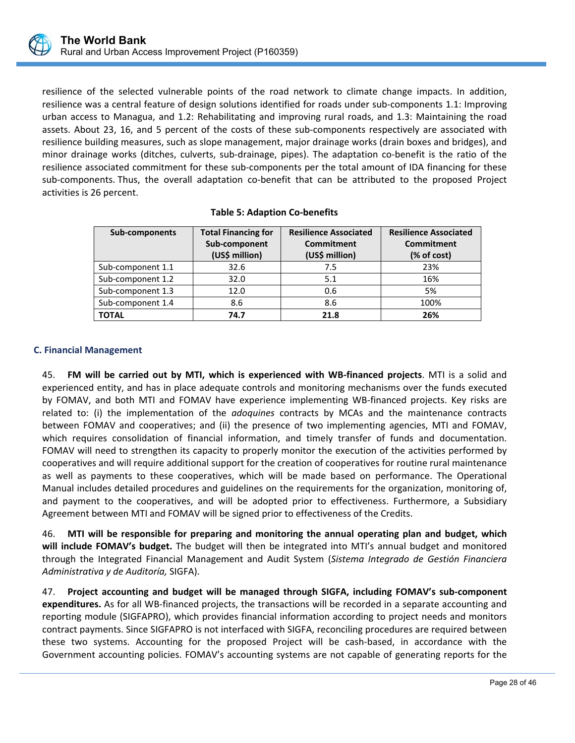

resilience of the selected vulnerable points of the road network to climate change impacts. In addition, resilience was a central feature of design solutions identified for roads under sub‐components 1.1: Improving urban access to Managua, and 1.2: Rehabilitating and improving rural roads, and 1.3: Maintaining the road assets. About 23, 16, and 5 percent of the costs of these sub-components respectively are associated with resilience building measures, such as slope management, major drainage works (drain boxes and bridges), and minor drainage works (ditches, culverts, sub-drainage, pipes). The adaptation co-benefit is the ratio of the resilience associated commitment for these sub-components per the total amount of IDA financing for these sub-components. Thus, the overall adaptation co-benefit that can be attributed to the proposed Project activities is 26 percent.

| Sub-components    | <b>Total Financing for</b><br>Sub-component<br>(US\$ million) | <b>Resilience Associated</b><br>Commitment<br>(US\$ million) | <b>Resilience Associated</b><br>Commitment<br>(% of cost) |
|-------------------|---------------------------------------------------------------|--------------------------------------------------------------|-----------------------------------------------------------|
| Sub-component 1.1 | 32.6                                                          | 7.5                                                          | 23%                                                       |
| Sub-component 1.2 | 32.0                                                          | 5.1                                                          | 16%                                                       |
| Sub-component 1.3 | 12.0                                                          | 0.6                                                          | 5%                                                        |
| Sub-component 1.4 | 8.6                                                           | 8.6                                                          | 100%                                                      |
| <b>TOTAL</b>      | 74.7                                                          | 21.8                                                         | 26%                                                       |

# **C. Financial Management**

45. **FM will be carried out by MTI, which is experienced with WB‐financed projects**. MTI is a solid and experienced entity, and has in place adequate controls and monitoring mechanisms over the funds executed by FOMAV, and both MTI and FOMAV have experience implementing WB‐financed projects. Key risks are related to: (i) the implementation of the *adoquines* contracts by MCAs and the maintenance contracts between FOMAV and cooperatives; and (ii) the presence of two implementing agencies, MTI and FOMAV, which requires consolidation of financial information, and timely transfer of funds and documentation. FOMAV will need to strengthen its capacity to properly monitor the execution of the activities performed by cooperatives and will require additional support for the creation of cooperatives for routine rural maintenance as well as payments to these cooperatives, which will be made based on performance. The Operational Manual includes detailed procedures and guidelines on the requirements for the organization, monitoring of, and payment to the cooperatives, and will be adopted prior to effectiveness. Furthermore, a Subsidiary Agreement between MTI and FOMAV will be signed prior to effectiveness of the Credits.

46. **MTI will be responsible for preparing and monitoring the annual operating plan and budget, which will include FOMAV's budget.** The budget will then be integrated into MTI's annual budget and monitored through the Integrated Financial Management and Audit System (*Sistema Integrado de Gestión Financiera Administrativa y de Auditoría,* SIGFA).

47. **Project accounting and budget will be managed through SIGFA, including FOMAV's sub‐component expenditures.** As for all WB‐financed projects, the transactions will be recorded in a separate accounting and reporting module (SIGFAPRO), which provides financial information according to project needs and monitors contract payments. Since SIGFAPRO is not interfaced with SIGFA, reconciling procedures are required between these two systems. Accounting for the proposed Project will be cash‐based, in accordance with the Government accounting policies. FOMAV's accounting systems are not capable of generating reports for the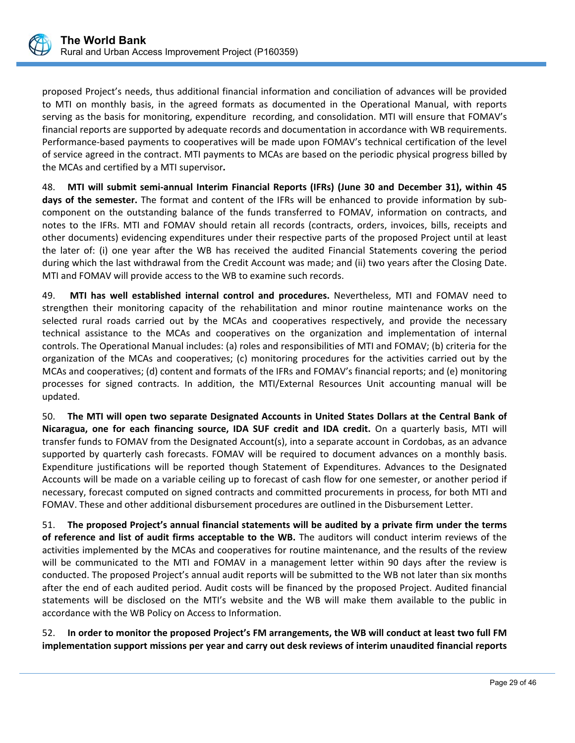

proposed Project's needs, thus additional financial information and conciliation of advances will be provided to MTI on monthly basis, in the agreed formats as documented in the Operational Manual, with reports serving as the basis for monitoring, expenditure recording, and consolidation. MTI will ensure that FOMAV's financial reports are supported by adequate records and documentation in accordance with WB requirements. Performance‐based payments to cooperatives will be made upon FOMAV's technical certification of the level of service agreed in the contract. MTI payments to MCAs are based on the periodic physical progress billed by the MCAs and certified by a MTI supervisor*.*

48. **MTI will submit semi‐annual Interim Financial Reports (IFRs) (June 30 and December 31), within 45**  days of the semester. The format and content of the IFRs will be enhanced to provide information by subcomponent on the outstanding balance of the funds transferred to FOMAV, information on contracts, and notes to the IFRs. MTI and FOMAV should retain all records (contracts, orders, invoices, bills, receipts and other documents) evidencing expenditures under their respective parts of the proposed Project until at least the later of: (i) one year after the WB has received the audited Financial Statements covering the period during which the last withdrawal from the Credit Account was made; and (ii) two years after the Closing Date. MTI and FOMAV will provide access to the WB to examine such records.

49. **MTI has well established internal control and procedures.**  Nevertheless, MTI and FOMAV need to strengthen their monitoring capacity of the rehabilitation and minor routine maintenance works on the selected rural roads carried out by the MCAs and cooperatives respectively, and provide the necessary technical assistance to the MCAs and cooperatives on the organization and implementation of internal controls. The Operational Manual includes: (a) roles and responsibilities of MTI and FOMAV; (b) criteria for the organization of the MCAs and cooperatives; (c) monitoring procedures for the activities carried out by the MCAs and cooperatives; (d) content and formats of the IFRs and FOMAV's financial reports; and (e) monitoring processes for signed contracts. In addition, the MTI/External Resources Unit accounting manual will be updated.

50. **The MTI will open two separate Designated Accounts in United States Dollars at the Central Bank of Nicaragua, one for each financing source, IDA SUF credit and IDA credit.** On a quarterly basis, MTI will transfer funds to FOMAV from the Designated Account(s), into a separate account in Cordobas, as an advance supported by quarterly cash forecasts. FOMAV will be required to document advances on a monthly basis. Expenditure justifications will be reported though Statement of Expenditures. Advances to the Designated Accounts will be made on a variable ceiling up to forecast of cash flow for one semester, or another period if necessary, forecast computed on signed contracts and committed procurements in process, for both MTI and FOMAV. These and other additional disbursement procedures are outlined in the Disbursement Letter.

51. **The proposed Project's annual financial statements will be audited by a private firm under the terms of reference and list of audit firms acceptable to the WB.** The auditors will conduct interim reviews of the activities implemented by the MCAs and cooperatives for routine maintenance, and the results of the review will be communicated to the MTI and FOMAV in a management letter within 90 days after the review is conducted. The proposed Project's annual audit reports will be submitted to the WB not later than six months after the end of each audited period. Audit costs will be financed by the proposed Project. Audited financial statements will be disclosed on the MTI's website and the WB will make them available to the public in accordance with the WB Policy on Access to Information.

52. **In order to monitor the proposed Project's FM arrangements, the WB will conduct at least two full FM implementation support missions per year and carry out desk reviews of interim unaudited financial reports**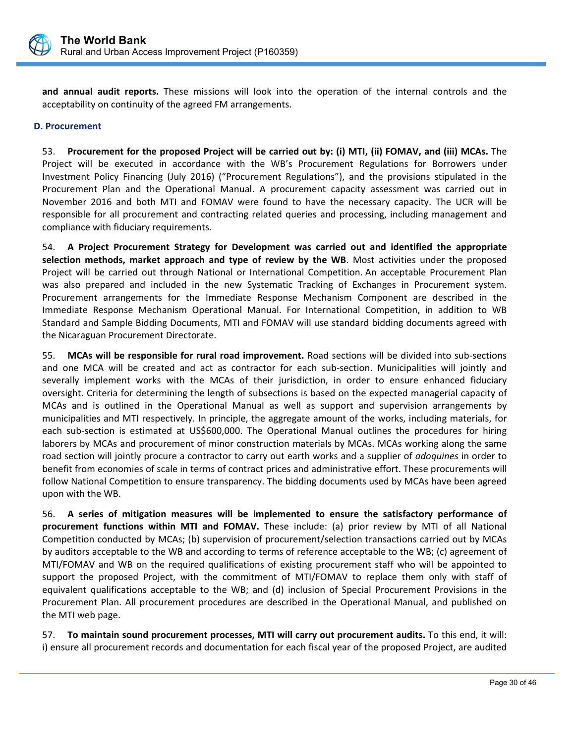

and annual audit reports. These missions will look into the operation of the internal controls and the acceptability on continuity of the agreed FM arrangements.

# **D. Procurement**

53. **Procurement for the proposed Project will be carried out by: (i) MTI, (ii) FOMAV, and (iii) MCAs.** The Project will be executed in accordance with the WB's Procurement Regulations for Borrowers under Investment Policy Financing (July 2016) ("Procurement Regulations"), and the provisions stipulated in the Procurement Plan and the Operational Manual. A procurement capacity assessment was carried out in November 2016 and both MTI and FOMAV were found to have the necessary capacity. The UCR will be responsible for all procurement and contracting related queries and processing, including management and compliance with fiduciary requirements.

54. **A Project Procurement Strategy for Development was carried out and identified the appropriate selection methods, market approach and type of review by the WB**. Most activities under the proposed Project will be carried out through National or International Competition. An acceptable Procurement Plan was also prepared and included in the new Systematic Tracking of Exchanges in Procurement system. Procurement arrangements for the Immediate Response Mechanism Component are described in the Immediate Response Mechanism Operational Manual. For International Competition, in addition to WB Standard and Sample Bidding Documents, MTI and FOMAV will use standard bidding documents agreed with the Nicaraguan Procurement Directorate.

55. **MCAs will be responsible for rural road improvement.** Road sections will be divided into sub‐sections and one MCA will be created and act as contractor for each sub‐section. Municipalities will jointly and severally implement works with the MCAs of their jurisdiction, in order to ensure enhanced fiduciary oversight. Criteria for determining the length of subsections is based on the expected managerial capacity of MCAs and is outlined in the Operational Manual as well as support and supervision arrangements by municipalities and MTI respectively. In principle, the aggregate amount of the works, including materials, for each sub-section is estimated at US\$600,000. The Operational Manual outlines the procedures for hiring laborers by MCAs and procurement of minor construction materials by MCAs. MCAs working along the same road section will jointly procure a contractor to carry out earth works and a supplier of *adoquines* in order to benefit from economies of scale in terms of contract prices and administrative effort. These procurements will follow National Competition to ensure transparency. The bidding documents used by MCAs have been agreed upon with the WB.

56. **A series of mitigation measures will be implemented to ensure the satisfactory performance of procurement functions within MTI and FOMAV.** These include: (a) prior review by MTI of all National Competition conducted by MCAs; (b) supervision of procurement/selection transactions carried out by MCAs by auditors acceptable to the WB and according to terms of reference acceptable to the WB; (c) agreement of MTI/FOMAV and WB on the required qualifications of existing procurement staff who will be appointed to support the proposed Project, with the commitment of MTI/FOMAV to replace them only with staff of equivalent qualifications acceptable to the WB; and (d) inclusion of Special Procurement Provisions in the Procurement Plan. All procurement procedures are described in the Operational Manual, and published on the MTI web page.

57. **To maintain sound procurement processes, MTI will carry out procurement audits.** To this end, it will: i) ensure all procurement records and documentation for each fiscal year of the proposed Project, are audited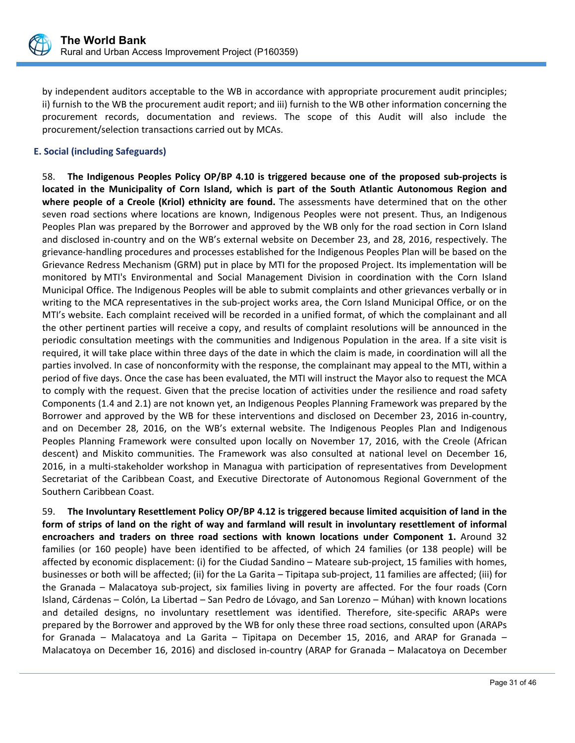

by independent auditors acceptable to the WB in accordance with appropriate procurement audit principles; ii) furnish to the WB the procurement audit report; and iii) furnish to the WB other information concerning the procurement records, documentation and reviews. The scope of this Audit will also include the procurement/selection transactions carried out by MCAs.

# **E. Social (including Safeguards)**

58. **The Indigenous Peoples Policy OP/BP 4.10 is triggered because one of the proposed sub‐projects is located in the Municipality of Corn Island, which is part of the South Atlantic Autonomous Region and where people of a Creole (Kriol) ethnicity are found.** The assessments have determined that on the other seven road sections where locations are known, Indigenous Peoples were not present. Thus, an Indigenous Peoples Plan was prepared by the Borrower and approved by the WB only for the road section in Corn Island and disclosed in‐country and on the WB's external website on December 23, and 28, 2016, respectively. The grievance‐handling procedures and processes established for the Indigenous Peoples Plan will be based on the Grievance Redress Mechanism (GRM) put in place by MTI for the proposed Project. Its implementation will be monitored by MTI's Environmental and Social Management Division in coordination with the Corn Island Municipal Office. The Indigenous Peoples will be able to submit complaints and other grievances verbally or in writing to the MCA representatives in the sub‐project works area, the Corn Island Municipal Office, or on the MTI's website. Each complaint received will be recorded in a unified format, of which the complainant and all the other pertinent parties will receive a copy, and results of complaint resolutions will be announced in the periodic consultation meetings with the communities and Indigenous Population in the area. If a site visit is required, it will take place within three days of the date in which the claim is made, in coordination will all the parties involved. In case of nonconformity with the response, the complainant may appeal to the MTI, within a period of five days. Once the case has been evaluated, the MTI will instruct the Mayor also to request the MCA to comply with the request. Given that the precise location of activities under the resilience and road safety Components (1.4 and 2.1) are not known yet, an Indigenous Peoples Planning Framework was prepared by the Borrower and approved by the WB for these interventions and disclosed on December 23, 2016 in‐country, and on December 28, 2016, on the WB's external website. The Indigenous Peoples Plan and Indigenous Peoples Planning Framework were consulted upon locally on November 17, 2016, with the Creole (African descent) and Miskito communities. The Framework was also consulted at national level on December 16, 2016, in a multi-stakeholder workshop in Managua with participation of representatives from Development Secretariat of the Caribbean Coast, and Executive Directorate of Autonomous Regional Government of the Southern Caribbean Coast.

59. **The Involuntary Resettlement Policy OP/BP 4.12 is triggered because limited acquisition of land in the form of strips of land on the right of way and farmland will result in involuntary resettlement of informal encroachers and traders on three road sections with known locations under Component 1.** Around 32 families (or 160 people) have been identified to be affected, of which 24 families (or 138 people) will be affected by economic displacement: (i) for the Ciudad Sandino – Mateare sub‐project, 15 families with homes, businesses or both will be affected; (ii) for the La Garita – Tipitapa sub‐project, 11 families are affected; (iii) for the Granada – Malacatoya sub-project, six families living in poverty are affected. For the four roads (Corn Island, Cárdenas – Colón, La Libertad – San Pedro de Lóvago, and San Lorenzo – Múhan) with known locations and detailed designs, no involuntary resettlement was identified. Therefore, site‐specific ARAPs were prepared by the Borrower and approved by the WB for only these three road sections, consulted upon (ARAPs for Granada – Malacatoya and La Garita – Tipitapa on December 15, 2016, and ARAP for Granada – Malacatoya on December 16, 2016) and disclosed in‐country (ARAP for Granada – Malacatoya on December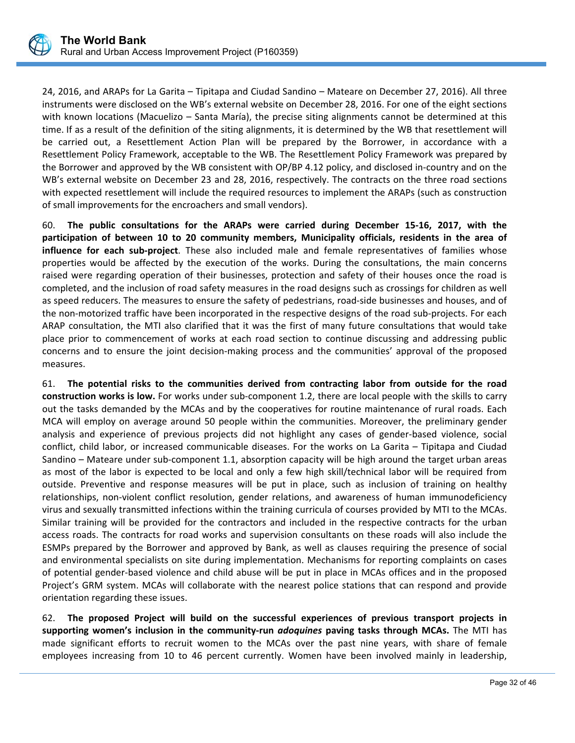

24, 2016, and ARAPs for La Garita – Tipitapa and Ciudad Sandino – Mateare on December 27, 2016). All three instruments were disclosed on the WB's external website on December 28, 2016. For one of the eight sections with known locations (Macuelizo – Santa María), the precise siting alignments cannot be determined at this time. If as a result of the definition of the siting alignments, it is determined by the WB that resettlement will be carried out, a Resettlement Action Plan will be prepared by the Borrower, in accordance with a Resettlement Policy Framework, acceptable to the WB. The Resettlement Policy Framework was prepared by the Borrower and approved by the WB consistent with OP/BP 4.12 policy, and disclosed in‐country and on the WB's external website on December 23 and 28, 2016, respectively. The contracts on the three road sections with expected resettlement will include the required resources to implement the ARAPs (such as construction of small improvements for the encroachers and small vendors).

60. **The public consultations for the ARAPs were carried during December 15‐16, 2017, with the participation of between 10 to 20 community members, Municipality officials, residents in the area of influence for each sub‐project**. These also included male and female representatives of families whose properties would be affected by the execution of the works. During the consultations, the main concerns raised were regarding operation of their businesses, protection and safety of their houses once the road is completed, and the inclusion of road safety measures in the road designs such as crossings for children as well as speed reducers. The measures to ensure the safety of pedestrians, road‐side businesses and houses, and of the non‐motorized traffic have been incorporated in the respective designs of the road sub‐projects. For each ARAP consultation, the MTI also clarified that it was the first of many future consultations that would take place prior to commencement of works at each road section to continue discussing and addressing public concerns and to ensure the joint decision-making process and the communities' approval of the proposed measures.

61. **The potential risks to the communities derived from contracting labor from outside for the road construction works is low.** For works under sub‐component 1.2, there are local people with the skills to carry out the tasks demanded by the MCAs and by the cooperatives for routine maintenance of rural roads. Each MCA will employ on average around 50 people within the communities. Moreover, the preliminary gender analysis and experience of previous projects did not highlight any cases of gender‐based violence, social conflict, child labor, or increased communicable diseases. For the works on La Garita – Tipitapa and Ciudad Sandino – Mateare under sub-component 1.1, absorption capacity will be high around the target urban areas as most of the labor is expected to be local and only a few high skill/technical labor will be required from outside. Preventive and response measures will be put in place, such as inclusion of training on healthy relationships, non‐violent conflict resolution, gender relations, and awareness of human immunodeficiency virus and sexually transmitted infections within the training curricula of courses provided by MTI to the MCAs. Similar training will be provided for the contractors and included in the respective contracts for the urban access roads. The contracts for road works and supervision consultants on these roads will also include the ESMPs prepared by the Borrower and approved by Bank, as well as clauses requiring the presence of social and environmental specialists on site during implementation. Mechanisms for reporting complaints on cases of potential gender‐based violence and child abuse will be put in place in MCAs offices and in the proposed Project's GRM system. MCAs will collaborate with the nearest police stations that can respond and provide orientation regarding these issues.

62. **The proposed Project will build on the successful experiences of previous transport projects in supporting women's inclusion in the community‐run**  *adoquines* **paving tasks through MCAs.** The MTI has made significant efforts to recruit women to the MCAs over the past nine years, with share of female employees increasing from 10 to 46 percent currently. Women have been involved mainly in leadership,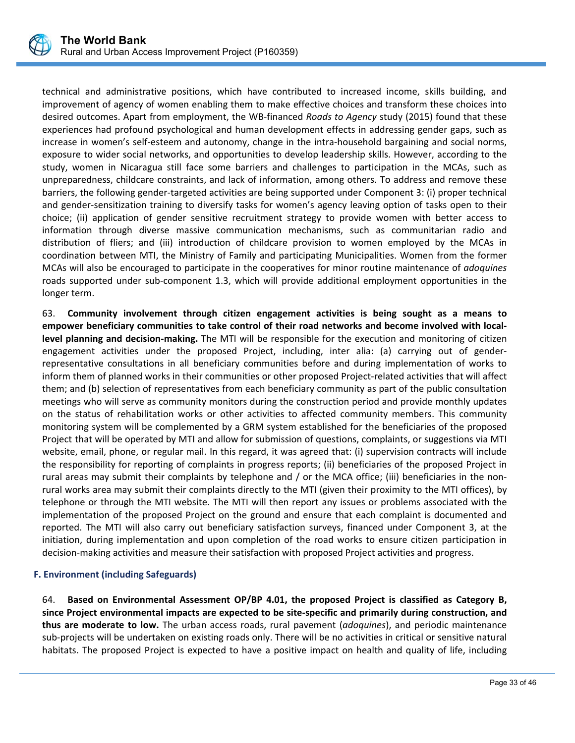

technical and administrative positions, which have contributed to increased income, skills building, and improvement of agency of women enabling them to make effective choices and transform these choices into desired outcomes. Apart from employment, the WB‐financed *Roads to Agency* study (2015) found that these experiences had profound psychological and human development effects in addressing gender gaps, such as increase in women's self-esteem and autonomy, change in the intra-household bargaining and social norms, exposure to wider social networks, and opportunities to develop leadership skills. However, according to the study, women in Nicaragua still face some barriers and challenges to participation in the MCAs, such as unpreparedness, childcare constraints, and lack of information, among others. To address and remove these barriers, the following gender‐targeted activities are being supported under Component 3: (i) proper technical and gender‐sensitization training to diversify tasks for women's agency leaving option of tasks open to their choice; (ii) application of gender sensitive recruitment strategy to provide women with better access to information through diverse massive communication mechanisms, such as communitarian radio and distribution of fliers; and (iii) introduction of childcare provision to women employed by the MCAs in coordination between MTI, the Ministry of Family and participating Municipalities. Women from the former MCAs will also be encouraged to participate in the cooperatives for minor routine maintenance of *adoquines* roads supported under sub‐component 1.3, which will provide additional employment opportunities in the longer term.

63. **Community involvement through citizen engagement activities is being sought as a means to empower beneficiary communities to take control of their road networks and become involved with local‐ level planning and decision‐making.** The MTI will be responsible for the execution and monitoring of citizen engagement activities under the proposed Project, including, inter alia: (a) carrying out of genderrepresentative consultations in all beneficiary communities before and during implementation of works to inform them of planned works in their communities or other proposed Project-related activities that will affect them; and (b) selection of representatives from each beneficiary community as part of the public consultation meetings who will serve as community monitors during the construction period and provide monthly updates on the status of rehabilitation works or other activities to affected community members. This community monitoring system will be complemented by a GRM system established for the beneficiaries of the proposed Project that will be operated by MTI and allow for submission of questions, complaints, or suggestions via MTI website, email, phone, or regular mail. In this regard, it was agreed that: (i) supervision contracts will include the responsibility for reporting of complaints in progress reports; (ii) beneficiaries of the proposed Project in rural areas may submit their complaints by telephone and / or the MCA office; (iii) beneficiaries in the non‐ rural works area may submit their complaints directly to the MTI (given their proximity to the MTI offices), by telephone or through the MTI website. The MTI will then report any issues or problems associated with the implementation of the proposed Project on the ground and ensure that each complaint is documented and reported. The MTI will also carry out beneficiary satisfaction surveys, financed under Component 3, at the initiation, during implementation and upon completion of the road works to ensure citizen participation in decision‐making activities and measure their satisfaction with proposed Project activities and progress.

# **F. Environment (including Safeguards)**

64. **Based on Environmental Assessment OP/BP 4.01, the proposed Project is classified as Category B, since Project environmental impacts are expected to be site‐specific and primarily during construction, and thus are moderate to low.** The urban access roads, rural pavement (*adoquines*), and periodic maintenance sub‐projects will be undertaken on existing roads only. There will be no activities in critical or sensitive natural habitats. The proposed Project is expected to have a positive impact on health and quality of life, including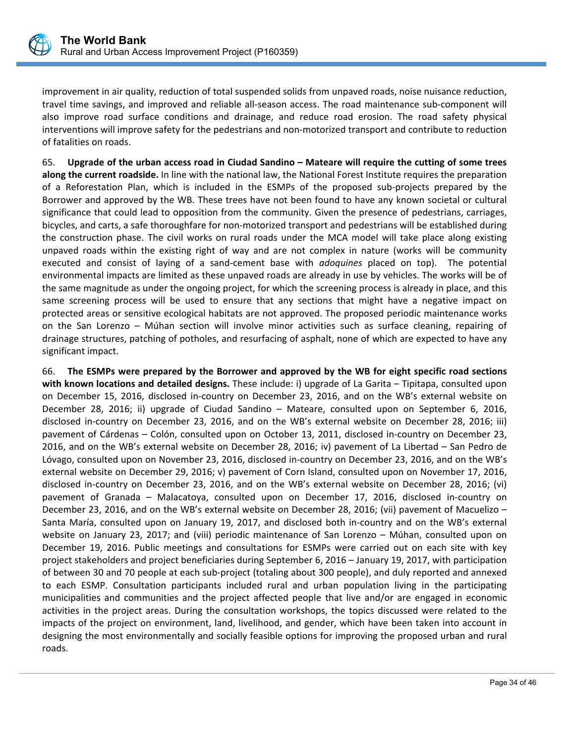

improvement in air quality, reduction of total suspended solids from unpaved roads, noise nuisance reduction, travel time savings, and improved and reliable all‐season access. The road maintenance sub‐component will also improve road surface conditions and drainage, and reduce road erosion. The road safety physical interventions will improve safety for the pedestrians and non‐motorized transport and contribute to reduction of fatalities on roads.

65. **Upgrade of the urban access road in Ciudad Sandino – Mateare will require the cutting of some trees along the current roadside.** In line with the national law, the National Forest Institute requires the preparation of a Reforestation Plan, which is included in the ESMPs of the proposed sub‐projects prepared by the Borrower and approved by the WB. These trees have not been found to have any known societal or cultural significance that could lead to opposition from the community. Given the presence of pedestrians, carriages, bicycles, and carts, a safe thoroughfare for non‐motorized transport and pedestrians will be established during the construction phase. The civil works on rural roads under the MCA model will take place along existing unpaved roads within the existing right of way and are not complex in nature (works will be community executed and consist of laying of a sand-cement base with *adoquines* placed on top). The potential environmental impacts are limited as these unpaved roads are already in use by vehicles. The works will be of the same magnitude as under the ongoing project, for which the screening process is already in place, and this same screening process will be used to ensure that any sections that might have a negative impact on protected areas or sensitive ecological habitats are not approved. The proposed periodic maintenance works on the San Lorenzo – Múhan section will involve minor activities such as surface cleaning, repairing of drainage structures, patching of potholes, and resurfacing of asphalt, none of which are expected to have any significant impact.

66. **The ESMPs were prepared by the Borrower and approved by the WB for eight specific road sections with known locations and detailed designs.** These include: i) upgrade of La Garita – Tipitapa, consulted upon on December 15, 2016, disclosed in-country on December 23, 2016, and on the WB's external website on December 28, 2016; ii) upgrade of Ciudad Sandino – Mateare, consulted upon on September 6, 2016, disclosed in-country on December 23, 2016, and on the WB's external website on December 28, 2016; iii) pavement of Cárdenas – Colón, consulted upon on October 13, 2011, disclosed in‐country on December 23, 2016, and on the WB's external website on December 28, 2016; iv) pavement of La Libertad – San Pedro de Lóvago, consulted upon on November 23, 2016, disclosed in‐country on December 23, 2016, and on the WB's external website on December 29, 2016; v) pavement of Corn Island, consulted upon on November 17, 2016, disclosed in-country on December 23, 2016, and on the WB's external website on December 28, 2016; (vi) pavement of Granada – Malacatoya, consulted upon on December 17, 2016, disclosed in‐country on December 23, 2016, and on the WB's external website on December 28, 2016; (vii) pavement of Macuelizo – Santa María, consulted upon on January 19, 2017, and disclosed both in‐country and on the WB's external website on January 23, 2017; and (viii) periodic maintenance of San Lorenzo – Múhan, consulted upon on December 19, 2016. Public meetings and consultations for ESMPs were carried out on each site with key project stakeholders and project beneficiaries during September 6, 2016 – January 19, 2017, with participation of between 30 and 70 people at each sub‐project (totaling about 300 people), and duly reported and annexed to each ESMP. Consultation participants included rural and urban population living in the participating municipalities and communities and the project affected people that live and/or are engaged in economic activities in the project areas. During the consultation workshops, the topics discussed were related to the impacts of the project on environment, land, livelihood, and gender, which have been taken into account in designing the most environmentally and socially feasible options for improving the proposed urban and rural roads.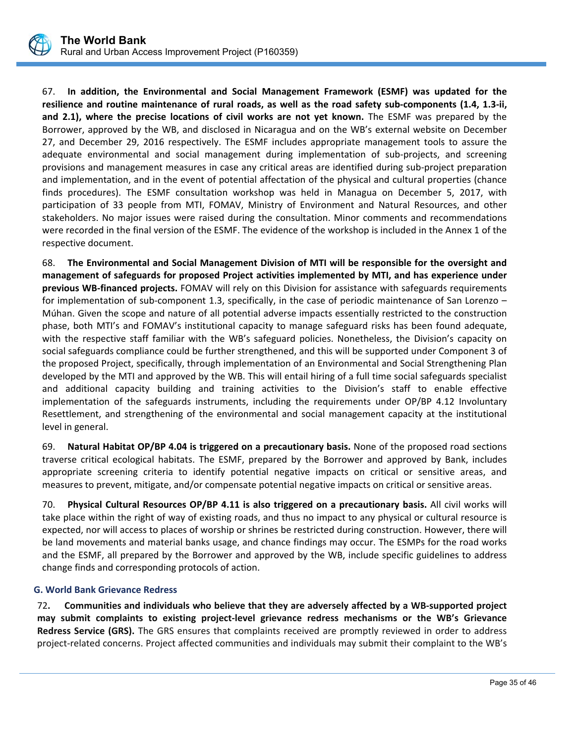

67. **In addition, the Environmental and Social Management Framework (ESMF) was updated for the resilience and routine maintenance of rural roads, as well as the road safety sub‐components (1.4, 1.3‐ii, and 2.1), where the precise locations of civil works are not yet known.** The ESMF was prepared by the Borrower, approved by the WB, and disclosed in Nicaragua and on the WB's external website on December 27, and December 29, 2016 respectively. The ESMF includes appropriate management tools to assure the adequate environmental and social management during implementation of sub-projects, and screening provisions and management measures in case any critical areas are identified during sub‐project preparation and implementation, and in the event of potential affectation of the physical and cultural properties (chance finds procedures). The ESMF consultation workshop was held in Managua on December 5, 2017, with participation of 33 people from MTI, FOMAV, Ministry of Environment and Natural Resources, and other stakeholders. No major issues were raised during the consultation. Minor comments and recommendations were recorded in the final version of the ESMF. The evidence of the workshop is included in the Annex 1 of the respective document.

68. **The Environmental and Social Management Division of MTI will be responsible for the oversight and management of safeguards for proposed Project activities implemented by MTI, and has experience under previous WB‐financed projects.** FOMAV will rely on this Division for assistance with safeguards requirements for implementation of sub-component 1.3, specifically, in the case of periodic maintenance of San Lorenzo – Múhan. Given the scope and nature of all potential adverse impacts essentially restricted to the construction phase, both MTI's and FOMAV's institutional capacity to manage safeguard risks has been found adequate, with the respective staff familiar with the WB's safeguard policies. Nonetheless, the Division's capacity on social safeguards compliance could be further strengthened, and this will be supported under Component 3 of the proposed Project, specifically, through implementation of an Environmental and Social Strengthening Plan developed by the MTI and approved by the WB. This will entail hiring of a full time social safeguards specialist and additional capacity building and training activities to the Division's staff to enable effective implementation of the safeguards instruments, including the requirements under OP/BP 4.12 Involuntary Resettlement, and strengthening of the environmental and social management capacity at the institutional level in general.

69. **Natural Habitat OP/BP 4.04 is triggered on a precautionary basis.** None of the proposed road sections traverse critical ecological habitats. The ESMF, prepared by the Borrower and approved by Bank, includes appropriate screening criteria to identify potential negative impacts on critical or sensitive areas, and measures to prevent, mitigate, and/or compensate potential negative impacts on critical or sensitive areas.

70. **Physical Cultural Resources OP/BP 4.11 is also triggered on a precautionary basis.** All civil works will take place within the right of way of existing roads, and thus no impact to any physical or cultural resource is expected, nor will access to places of worship or shrines be restricted during construction. However, there will be land movements and material banks usage, and chance findings may occur. The ESMPs for the road works and the ESMF, all prepared by the Borrower and approved by the WB, include specific guidelines to address change finds and corresponding protocols of action.

# **G. World Bank Grievance Redress**

72**. Communities and individuals who believe that they are adversely affected by a WB‐supported project may submit complaints to existing project‐level grievance redress mechanisms or the WB's Grievance Redress Service (GRS).** The GRS ensures that complaints received are promptly reviewed in order to address project-related concerns. Project affected communities and individuals may submit their complaint to the WB's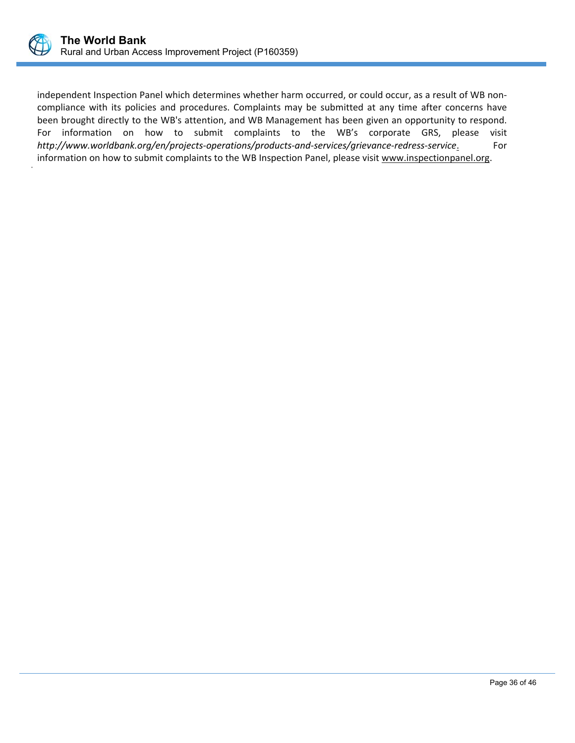

independent Inspection Panel which determines whether harm occurred, or could occur, as a result of WB noncompliance with its policies and procedures. Complaints may be submitted at any time after concerns have been brought directly to the WB's attention, and WB Management has been given an opportunity to respond. For information on how to submit complaints to the WB's corporate GRS, please visit *http://www.worldbank.org/en/projects‐operations/products‐and‐services/grievance‐redress‐service*. For information on how to submit complaints to the WB Inspection Panel, please visit www.inspectionpanel.org.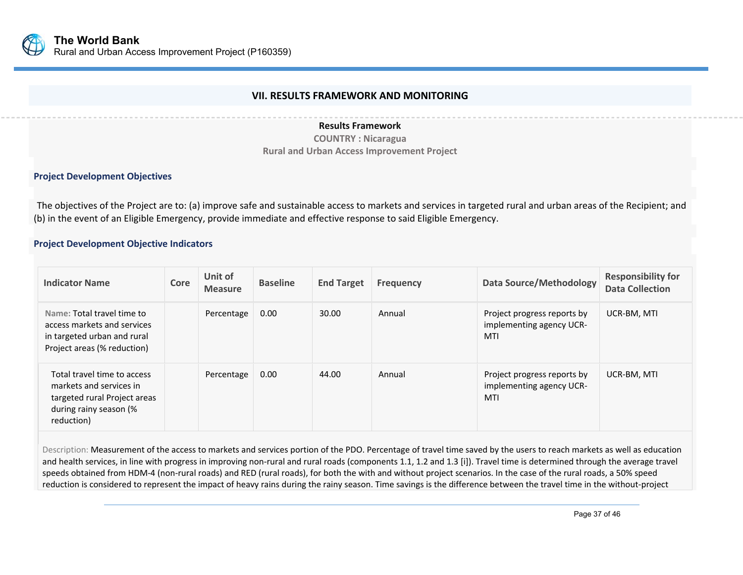

# **VII. RESULTS FRAMEWORK AND MONITORING**

#### **Results Framework**

**COUNTRY : Nicaragua Rural and Urban Access Improvement Project**

#### **Project Development Objectives**

The objectives of the Project are to: (a) improve safe and sustainable access to markets and services in targeted rural and urban areas of the Recipient; and (b) in the event of an Eligible Emergency, provide immediate and effective response to said Eligible Emergency.

#### **Project Development Objective Indicators**

| <b>Indicator Name</b>                                                                                                          | Core | Unit of<br><b>Measure</b> | <b>Baseline</b> | <b>End Target</b> | <b>Frequency</b> | <b>Data Source/Methodology</b>                                 | <b>Responsibility for</b><br><b>Data Collection</b> |
|--------------------------------------------------------------------------------------------------------------------------------|------|---------------------------|-----------------|-------------------|------------------|----------------------------------------------------------------|-----------------------------------------------------|
| Name: Total travel time to<br>access markets and services<br>in targeted urban and rural<br>Project areas (% reduction)        |      | Percentage                | 0.00            | 30.00             | Annual           | Project progress reports by<br>implementing agency UCR-<br>MTI | UCR-BM, MTI                                         |
| Total travel time to access<br>markets and services in<br>targeted rural Project areas<br>during rainy season (%<br>reduction) |      | Percentage                | 0.00            | 44.00             | Annual           | Project progress reports by<br>implementing agency UCR-<br>MTI | UCR-BM, MTI                                         |

Description: Measurement of the access to markets and services portion of the PDO. Percentage of travel time saved by the users to reach markets as well as education and health services, in line with progress in improving non-rural and rural roads (components 1.1, 1.2 and 1.3 [i]). Travel time is determined through the average travel speeds obtained from HDM-4 (non-rural roads) and RED (rural roads), for both the with and without project scenarios. In the case of the rural roads, a 50% speed reduction is considered to represent the impact of heavy rains during the rainy season. Time savings is the difference between the travel time in the without-project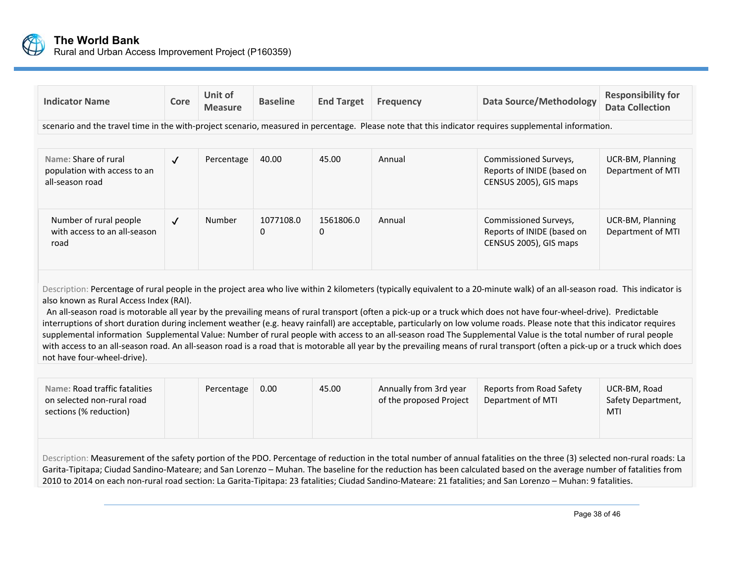

| <b>Indicator Name</b>                                                   | Core         | Unit of<br><b>Measure</b> | <b>Baseline</b>       | <b>End Target</b>     | <b>Frequency</b> | <b>Data Source/Methodology</b>                                                                                                                        | <b>Responsibility for</b><br><b>Data Collection</b> |
|-------------------------------------------------------------------------|--------------|---------------------------|-----------------------|-----------------------|------------------|-------------------------------------------------------------------------------------------------------------------------------------------------------|-----------------------------------------------------|
|                                                                         |              |                           |                       |                       |                  | scenario and the travel time in the with-project scenario, measured in percentage. Please note that this indicator requires supplemental information. |                                                     |
|                                                                         |              |                           |                       |                       |                  |                                                                                                                                                       |                                                     |
| Name: Share of rural<br>population with access to an<br>all-season road | $\sqrt{ }$   | Percentage                | 40.00                 | 45.00                 | Annual           | Commissioned Surveys,<br>Reports of INIDE (based on<br>CENSUS 2005), GIS maps                                                                         | UCR-BM, Planning<br>Department of MTI               |
| Number of rural people<br>with access to an all-season<br>road          | $\checkmark$ | <b>Number</b>             | 1077108.0<br>$\Omega$ | 1561806.0<br>$\Omega$ | Annual           | Commissioned Surveys,<br>Reports of INIDE (based on<br>CENSUS 2005), GIS maps                                                                         | UCR-BM, Planning<br>Department of MTI               |

Description: Percentage of rural people in the project area who live within 2 kilometers (typically equivalent to a 20-minute walk) of an all-season road. This indicator is also known as Rural Access Index (RAI).

An all-season road is motorable all year by the prevailing means of rural transport (often a pick-up or a truck which does not have four-wheel-drive). Predictable interruptions of short duration during inclement weather (e.g. heavy rainfall) are acceptable, particularly on low volume roads. Please note that this indicator requires supplemental information Supplemental Value: Number of rural people with access to an all-season road The Supplemental Value is the total number of rural people with access to an all-season road. An all-season road is a road that is motorable all year by the prevailing means of rural transport (often a pick-up or a truck which does not have four‐wheel‐drive).

| Name: Road traffic fatalities<br>on selected non-rural road<br>sections (% reduction)                                                                                                                                                                                                                                                            |  | Percentage | 0.00 | 45.00 | Annually from 3rd year<br>of the proposed Project | <b>Reports from Road Safety</b><br>Department of MTI | UCR-BM, Road<br>Safety Department,<br>MTI |  |
|--------------------------------------------------------------------------------------------------------------------------------------------------------------------------------------------------------------------------------------------------------------------------------------------------------------------------------------------------|--|------------|------|-------|---------------------------------------------------|------------------------------------------------------|-------------------------------------------|--|
| Description: Measurement of the safety portion of the PDO. Percentage of reduction in the total number of annual fatalities on the three (3) selected non-rural roads: La<br>Garita-Tipitapa; Ciudad Sandino-Mateare; and San Lorenzo - Muhan. The baseline for the reduction has been calculated based on the average number of fatalities from |  |            |      |       |                                                   |                                                      |                                           |  |

2010 to 2014 on each non‐rural road section: La Garita‐Tipitapa: 23 fatalities; Ciudad Sandino‐Mateare: 21 fatalities; and San Lorenzo – Muhan: 9 fatalities.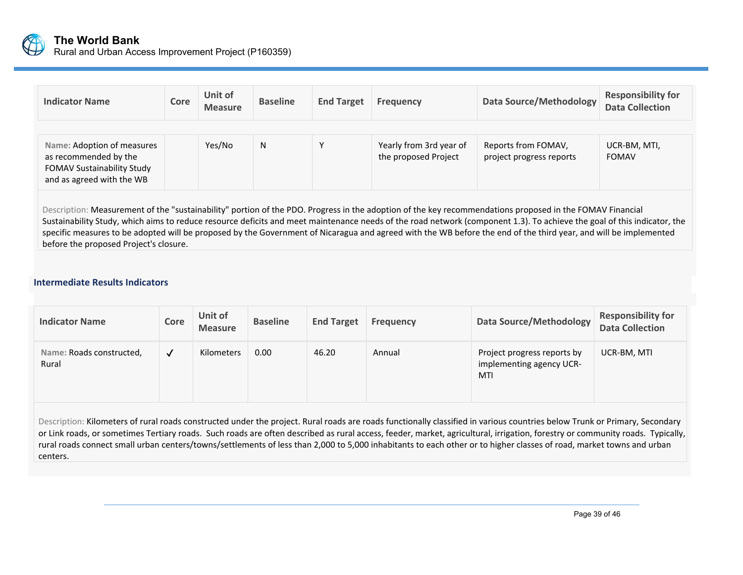

| <b>Indicator Name</b>                                                                                                 | Core | Unit of<br><b>Measure</b> | <b>Baseline</b> | <b>End Target</b> | <b>Frequency</b>                                | <b>Data Source/Methodology</b>                  | <b>Responsibility for</b><br><b>Data Collection</b> |
|-----------------------------------------------------------------------------------------------------------------------|------|---------------------------|-----------------|-------------------|-------------------------------------------------|-------------------------------------------------|-----------------------------------------------------|
| Name: Adoption of measures<br>as recommended by the<br><b>FOMAV Sustainability Study</b><br>and as agreed with the WB |      | Yes/No                    | N               |                   | Yearly from 3rd year of<br>the proposed Project | Reports from FOMAV,<br>project progress reports | UCR-BM, MTI,<br><b>FOMAV</b>                        |

Description: Measurement of the "sustainability" portion of the PDO. Progress in the adoption of the key recommendations proposed in the FOMAV Financial Sustainability Study, which aims to reduce resource deficits and meet maintenance needs of the road network (component 1.3). To achieve the goal of this indicator, the specific measures to be adopted will be proposed by the Government of Nicaragua and agreed with the WB before the end of the third year, and will be implemented before the proposed Project's closure.

#### **Intermediate Results Indicators**

| <b>Indicator Name</b>             | Core         | Unit of<br><b>Measure</b> | <b>Baseline</b> | <b>End Target</b> | <b>Frequency</b> | Data Source/Methodology                                        | <b>Responsibility for</b><br><b>Data Collection</b> |
|-----------------------------------|--------------|---------------------------|-----------------|-------------------|------------------|----------------------------------------------------------------|-----------------------------------------------------|
| Name: Roads constructed,<br>Rural | $\checkmark$ | Kilometers                | 0.00            | 46.20             | Annual           | Project progress reports by<br>implementing agency UCR-<br>MTI | UCR-BM, MTI                                         |

Description: Kilometers of rural roads constructed under the project. Rural roads are roads functionally classified in various countries below Trunk or Primary, Secondary or Link roads, or sometimes Tertiary roads. Such roads are often described as rural access, feeder, market, agricultural, irrigation, forestry or community roads. Typically, rural roads connect small urban centers/towns/settlements of less than 2,000 to 5,000 inhabitants to each other or to higher classes of road, market towns and urban centers.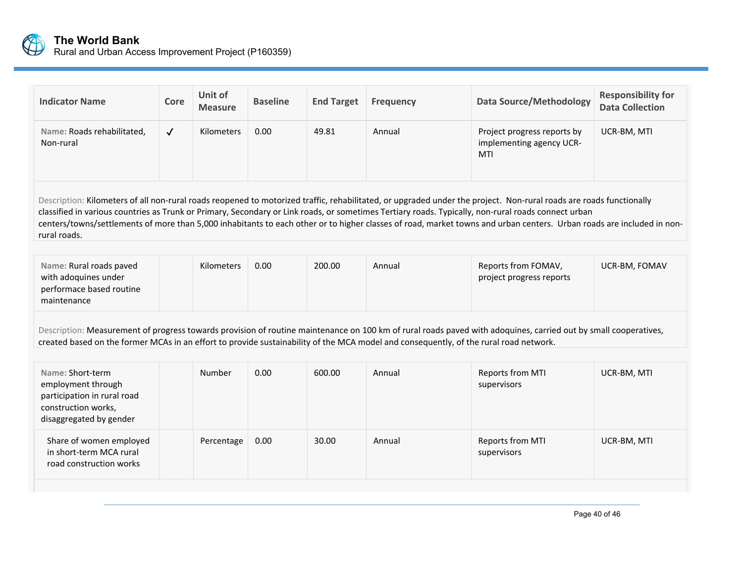

| <b>Indicator Name</b>                                                                                                                                                                                                                                                                                                                                                                                                                                                                                              | Core         | Unit of<br><b>Measure</b> | <b>Baseline</b> | <b>End Target</b> | <b>Frequency</b> | <b>Data Source/Methodology</b>                                                                                                                                  | <b>Responsibility for</b><br><b>Data Collection</b> |  |
|--------------------------------------------------------------------------------------------------------------------------------------------------------------------------------------------------------------------------------------------------------------------------------------------------------------------------------------------------------------------------------------------------------------------------------------------------------------------------------------------------------------------|--------------|---------------------------|-----------------|-------------------|------------------|-----------------------------------------------------------------------------------------------------------------------------------------------------------------|-----------------------------------------------------|--|
| Name: Roads rehabilitated,<br>Non-rural                                                                                                                                                                                                                                                                                                                                                                                                                                                                            | $\checkmark$ | Kilometers                | 0.00            | 49.81             | Annual           | Project progress reports by<br>implementing agency UCR-<br>MTI                                                                                                  | UCR-BM, MTI                                         |  |
| Description: Kilometers of all non-rural roads reopened to motorized traffic, rehabilitated, or upgraded under the project. Non-rural roads are roads functionally<br>classified in various countries as Trunk or Primary, Secondary or Link roads, or sometimes Tertiary roads. Typically, non-rural roads connect urban<br>centers/towns/settlements of more than 5,000 inhabitants to each other or to higher classes of road, market towns and urban centers. Urban roads are included in non-<br>rural roads. |              |                           |                 |                   |                  |                                                                                                                                                                 |                                                     |  |
| Name: Rural roads paved<br>with adoquines under<br>performace based routine<br>maintenance                                                                                                                                                                                                                                                                                                                                                                                                                         |              | Kilometers                | 0.00            | 200.00            | Annual           | Reports from FOMAV,<br>project progress reports                                                                                                                 | UCR-BM, FOMAV                                       |  |
| created based on the former MCAs in an effort to provide sustainability of the MCA model and consequently, of the rural road network.                                                                                                                                                                                                                                                                                                                                                                              |              |                           |                 |                   |                  | Description: Measurement of progress towards provision of routine maintenance on 100 km of rural roads paved with adoquines, carried out by small cooperatives, |                                                     |  |
| Name: Short-term<br>employment through<br>participation in rural road<br>construction works,<br>disaggregated by gender                                                                                                                                                                                                                                                                                                                                                                                            |              | Number                    | 0.00            | 600.00            | Annual           | Reports from MTI<br>supervisors                                                                                                                                 | UCR-BM, MTI                                         |  |
| Share of women employed<br>in short-term MCA rural<br>road construction works                                                                                                                                                                                                                                                                                                                                                                                                                                      |              | Percentage                | 0.00            | 30.00             | Annual           | Reports from MTI<br>supervisors                                                                                                                                 | UCR-BM, MTI                                         |  |
|                                                                                                                                                                                                                                                                                                                                                                                                                                                                                                                    |              |                           |                 |                   |                  |                                                                                                                                                                 |                                                     |  |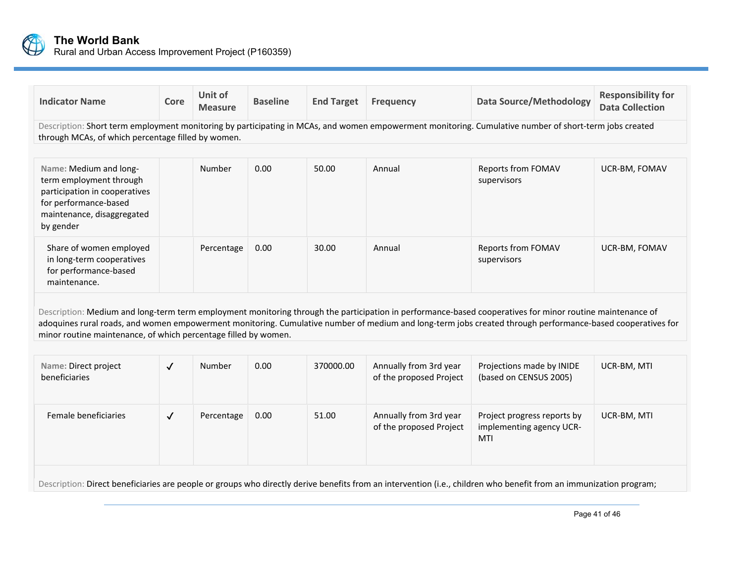

| <b>Indicator Name</b>                                                                                                                                                                                        | Core                                                                                                                                                               | Unit of<br><b>Measure</b> | <b>Baseline</b> | <b>End Target</b> | <b>Frequency</b>                                  | <b>Data Source/Methodology</b>                                                                                                                                                                                                                                                                                          | <b>Responsibility for</b><br><b>Data Collection</b> |  |  |
|--------------------------------------------------------------------------------------------------------------------------------------------------------------------------------------------------------------|--------------------------------------------------------------------------------------------------------------------------------------------------------------------|---------------------------|-----------------|-------------------|---------------------------------------------------|-------------------------------------------------------------------------------------------------------------------------------------------------------------------------------------------------------------------------------------------------------------------------------------------------------------------------|-----------------------------------------------------|--|--|
| Description: Short term employment monitoring by participating in MCAs, and women empowerment monitoring. Cumulative number of short-term jobs created<br>through MCAs, of which percentage filled by women. |                                                                                                                                                                    |                           |                 |                   |                                                   |                                                                                                                                                                                                                                                                                                                         |                                                     |  |  |
|                                                                                                                                                                                                              |                                                                                                                                                                    |                           |                 |                   |                                                   |                                                                                                                                                                                                                                                                                                                         |                                                     |  |  |
| Name: Medium and long-<br>term employment through<br>participation in cooperatives<br>for performance-based<br>maintenance, disaggregated<br>by gender                                                       |                                                                                                                                                                    | Number                    | 0.00            | 50.00             | Annual                                            | Reports from FOMAV<br>supervisors                                                                                                                                                                                                                                                                                       | UCR-BM, FOMAV                                       |  |  |
| Share of women employed<br>in long-term cooperatives<br>for performance-based<br>maintenance.                                                                                                                |                                                                                                                                                                    | Percentage                | 0.00            | 30.00             | Annual                                            | Reports from FOMAV<br>supervisors                                                                                                                                                                                                                                                                                       | UCR-BM, FOMAV                                       |  |  |
| minor routine maintenance, of which percentage filled by women.                                                                                                                                              |                                                                                                                                                                    |                           |                 |                   |                                                   | Description: Medium and long-term term employment monitoring through the participation in performance-based cooperatives for minor routine maintenance of<br>adoquines rural roads, and women empowerment monitoring. Cumulative number of medium and long-term jobs created through performance-based cooperatives for |                                                     |  |  |
|                                                                                                                                                                                                              |                                                                                                                                                                    |                           |                 |                   |                                                   |                                                                                                                                                                                                                                                                                                                         |                                                     |  |  |
| Name: Direct project<br>beneficiaries                                                                                                                                                                        | $\checkmark$                                                                                                                                                       | Number                    | 0.00            | 370000.00         | Annually from 3rd year<br>of the proposed Project | Projections made by INIDE<br>(based on CENSUS 2005)                                                                                                                                                                                                                                                                     | UCR-BM, MTI                                         |  |  |
| Female beneficiaries                                                                                                                                                                                         | $\checkmark$                                                                                                                                                       | Percentage                | 0.00            | 51.00             | Annually from 3rd year<br>of the proposed Project | Project progress reports by<br>implementing agency UCR-<br>MTI                                                                                                                                                                                                                                                          | UCR-BM, MTI                                         |  |  |
|                                                                                                                                                                                                              | Description: Direct beneficiaries are people or groups who directly derive benefits from an intervention (i.e., children who benefit from an immunization program; |                           |                 |                   |                                                   |                                                                                                                                                                                                                                                                                                                         |                                                     |  |  |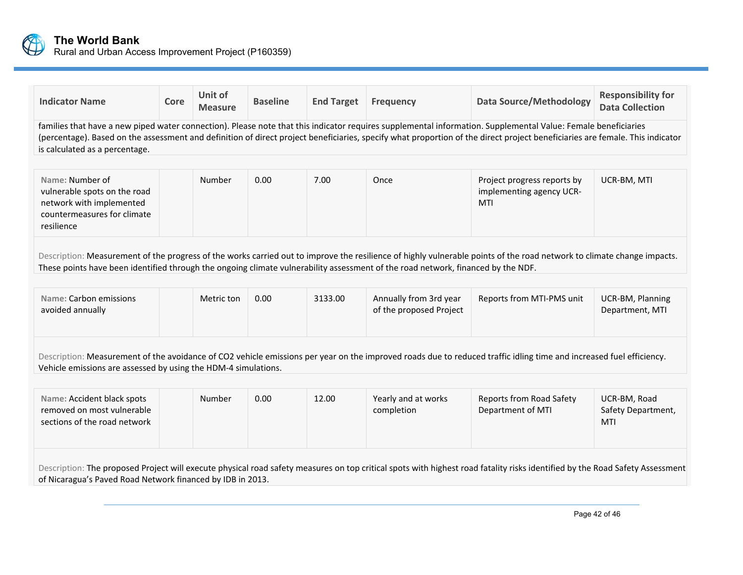

| <b>Indicator Name</b>                                                                                                                                                                                                                                                                                      | Core | Unit of<br><b>Measure</b> | <b>Baseline</b> | <b>End Target</b> | <b>Frequency</b>                                  | <b>Data Source/Methodology</b>                                                                                                                                                                                                                                                                                                                | <b>Responsibility for</b><br><b>Data Collection</b> |
|------------------------------------------------------------------------------------------------------------------------------------------------------------------------------------------------------------------------------------------------------------------------------------------------------------|------|---------------------------|-----------------|-------------------|---------------------------------------------------|-----------------------------------------------------------------------------------------------------------------------------------------------------------------------------------------------------------------------------------------------------------------------------------------------------------------------------------------------|-----------------------------------------------------|
| is calculated as a percentage.                                                                                                                                                                                                                                                                             |      |                           |                 |                   |                                                   | families that have a new piped water connection). Please note that this indicator requires supplemental information. Supplemental Value: Female beneficiaries<br>(percentage). Based on the assessment and definition of direct project beneficiaries, specify what proportion of the direct project beneficiaries are female. This indicator |                                                     |
| Name: Number of<br>vulnerable spots on the road<br>network with implemented<br>countermeasures for climate<br>resilience                                                                                                                                                                                   |      | Number                    | 0.00            | 7.00              | Once                                              | Project progress reports by<br>implementing agency UCR-<br>MTI                                                                                                                                                                                                                                                                                | UCR-BM, MTI                                         |
| Description: Measurement of the progress of the works carried out to improve the resilience of highly vulnerable points of the road network to climate change impacts.<br>These points have been identified through the ongoing climate vulnerability assessment of the road network, financed by the NDF. |      |                           |                 |                   |                                                   |                                                                                                                                                                                                                                                                                                                                               |                                                     |
| Name: Carbon emissions<br>avoided annually                                                                                                                                                                                                                                                                 |      | Metric ton                | 0.00            | 3133.00           | Annually from 3rd year<br>of the proposed Project | Reports from MTI-PMS unit                                                                                                                                                                                                                                                                                                                     | UCR-BM, Planning<br>Department, MTI                 |
| Description: Measurement of the avoidance of CO2 vehicle emissions per year on the improved roads due to reduced traffic idling time and increased fuel efficiency.<br>Vehicle emissions are assessed by using the HDM-4 simulations.                                                                      |      |                           |                 |                   |                                                   |                                                                                                                                                                                                                                                                                                                                               |                                                     |
| Name: Accident black spots<br>removed on most vulnerable<br>sections of the road network                                                                                                                                                                                                                   |      | Number                    | 0.00            | 12.00             | Yearly and at works<br>completion                 | <b>Reports from Road Safety</b><br>Department of MTI                                                                                                                                                                                                                                                                                          | UCR-BM, Road<br>Safety Department,<br><b>MTI</b>    |
| of Nicaragua's Paved Road Network financed by IDB in 2013.                                                                                                                                                                                                                                                 |      |                           |                 |                   |                                                   | Description: The proposed Project will execute physical road safety measures on top critical spots with highest road fatality risks identified by the Road Safety Assessment                                                                                                                                                                  |                                                     |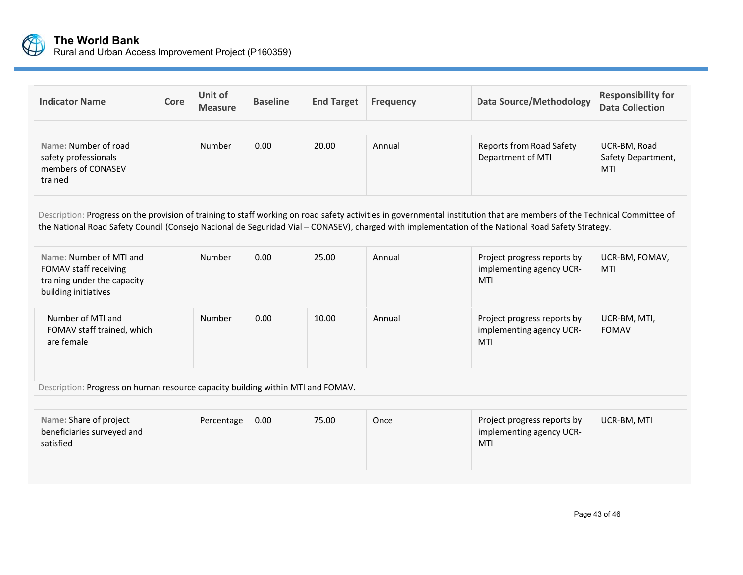

| <b>Indicator Name</b>                                                                                   | Core                                                                                                                                                                                                                                                                                                                           | Unit of<br><b>Measure</b> | <b>Baseline</b> | <b>End Target</b> | <b>Frequency</b> | <b>Data Source/Methodology</b>                                        | <b>Responsibility for</b><br><b>Data Collection</b> |  |
|---------------------------------------------------------------------------------------------------------|--------------------------------------------------------------------------------------------------------------------------------------------------------------------------------------------------------------------------------------------------------------------------------------------------------------------------------|---------------------------|-----------------|-------------------|------------------|-----------------------------------------------------------------------|-----------------------------------------------------|--|
|                                                                                                         |                                                                                                                                                                                                                                                                                                                                |                           |                 |                   |                  |                                                                       |                                                     |  |
| Name: Number of road<br>safety professionals<br>members of CONASEV<br>trained                           |                                                                                                                                                                                                                                                                                                                                | Number                    | 0.00            | 20.00             | Annual           | <b>Reports from Road Safety</b><br>Department of MTI                  | UCR-BM, Road<br>Safety Department,<br><b>MTI</b>    |  |
|                                                                                                         | Description: Progress on the provision of training to staff working on road safety activities in governmental institution that are members of the Technical Committee of<br>the National Road Safety Council (Consejo Nacional de Seguridad Vial - CONASEV), charged with implementation of the National Road Safety Strategy. |                           |                 |                   |                  |                                                                       |                                                     |  |
|                                                                                                         |                                                                                                                                                                                                                                                                                                                                |                           |                 |                   |                  |                                                                       |                                                     |  |
| Name: Number of MTI and<br>FOMAV staff receiving<br>training under the capacity<br>building initiatives |                                                                                                                                                                                                                                                                                                                                | Number                    | 0.00            | 25.00             | Annual           | Project progress reports by<br>implementing agency UCR-<br><b>MTI</b> | UCR-BM, FOMAV,<br><b>MTI</b>                        |  |
| Number of MTI and<br>FOMAV staff trained, which<br>are female                                           |                                                                                                                                                                                                                                                                                                                                | Number                    | 0.00            | 10.00             | Annual           | Project progress reports by<br>implementing agency UCR-<br>MTI        | UCR-BM, MTI,<br><b>FOMAV</b>                        |  |
| Description: Progress on human resource capacity building within MTI and FOMAV.                         |                                                                                                                                                                                                                                                                                                                                |                           |                 |                   |                  |                                                                       |                                                     |  |
|                                                                                                         |                                                                                                                                                                                                                                                                                                                                |                           |                 |                   |                  |                                                                       |                                                     |  |
| Name: Share of project<br>beneficiaries surveyed and<br>satisfied                                       |                                                                                                                                                                                                                                                                                                                                | Percentage                | 0.00            | 75.00             | Once             | Project progress reports by<br>implementing agency UCR-<br>MTI        | UCR-BM, MTI                                         |  |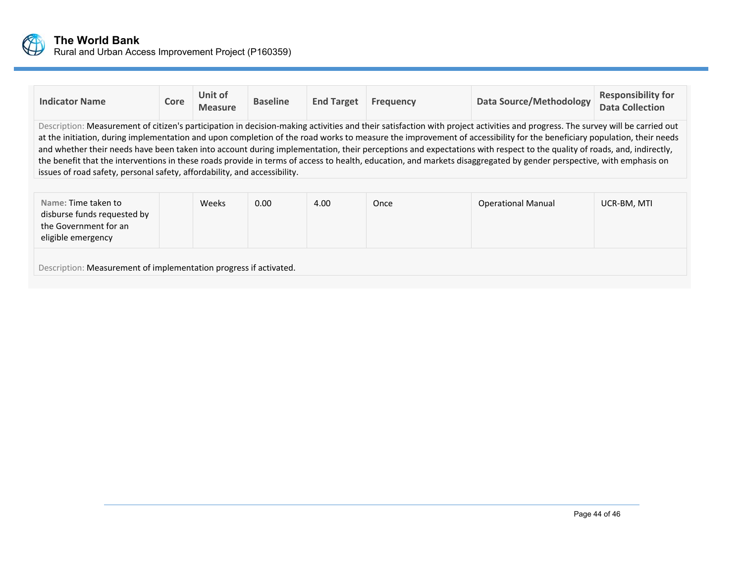

| <b>Indicator Name</b>                                                                                                                                                                                                                                                                                                                                                                                                                                                                                                                                                                                                                                                                                                                                                                 | Core | Unit of<br><b>Measure</b> | <b>Baseline</b> | <b>End Target</b> | <b>Frequency</b> | <b>Data Source/Methodology</b> | <b>Responsibility for</b><br><b>Data Collection</b> |  |
|---------------------------------------------------------------------------------------------------------------------------------------------------------------------------------------------------------------------------------------------------------------------------------------------------------------------------------------------------------------------------------------------------------------------------------------------------------------------------------------------------------------------------------------------------------------------------------------------------------------------------------------------------------------------------------------------------------------------------------------------------------------------------------------|------|---------------------------|-----------------|-------------------|------------------|--------------------------------|-----------------------------------------------------|--|
| Description: Measurement of citizen's participation in decision-making activities and their satisfaction with project activities and progress. The survey will be carried out<br>at the initiation, during implementation and upon completion of the road works to measure the improvement of accessibility for the beneficiary population, their needs<br>and whether their needs have been taken into account during implementation, their perceptions and expectations with respect to the quality of roads, and, indirectly,<br>the benefit that the interventions in these roads provide in terms of access to health, education, and markets disaggregated by gender perspective, with emphasis on<br>issues of road safety, personal safety, affordability, and accessibility. |      |                           |                 |                   |                  |                                |                                                     |  |
|                                                                                                                                                                                                                                                                                                                                                                                                                                                                                                                                                                                                                                                                                                                                                                                       |      |                           |                 |                   |                  |                                |                                                     |  |
| Name: Time taken to<br>disburse funds requested by<br>the Government for an<br>eligible emergency                                                                                                                                                                                                                                                                                                                                                                                                                                                                                                                                                                                                                                                                                     |      | Weeks                     | 0.00            | 4.00              | Once             | <b>Operational Manual</b>      | UCR-BM, MTI                                         |  |
| Description: Measurement of implementation progress if activated.                                                                                                                                                                                                                                                                                                                                                                                                                                                                                                                                                                                                                                                                                                                     |      |                           |                 |                   |                  |                                |                                                     |  |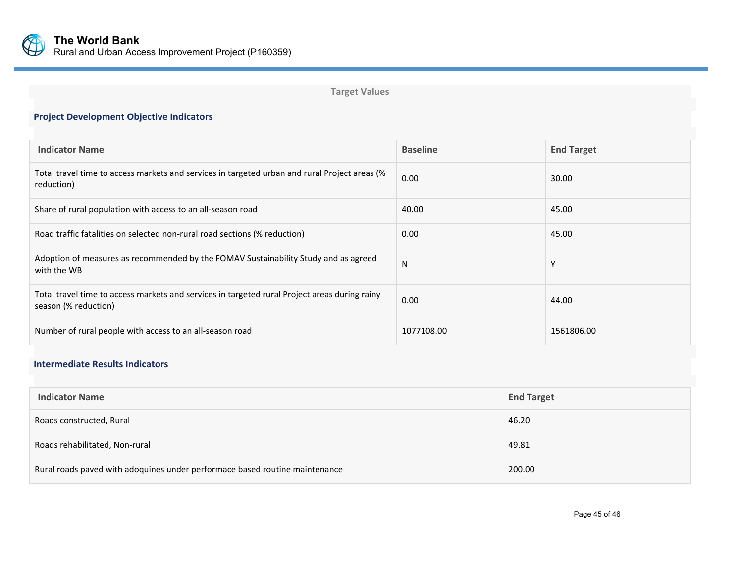

**Indicator Name** 

# **Project Development Objective Indicators Baseline End Target** Total travel time to access markets and services in targeted urban and rural Project areas (%

**Target Values**

| TOtal travel time to access markets and services in targeted diban and rurar roject areas (70<br>reduction)           | 0.00       | 30.00      |
|-----------------------------------------------------------------------------------------------------------------------|------------|------------|
| Share of rural population with access to an all-season road                                                           | 40.00      | 45.00      |
| Road traffic fatalities on selected non-rural road sections (% reduction)                                             | 0.00       | 45.00      |
| Adoption of measures as recommended by the FOMAV Sustainability Study and as agreed<br>with the WB                    | N          | v          |
| Total travel time to access markets and services in targeted rural Project areas during rainy<br>season (% reduction) | 0.00       | 44.00      |
| Number of rural people with access to an all-season road                                                              | 1077108.00 | 1561806.00 |

# **Intermediate Results Indicators**

| <b>Indicator Name</b>                                                       | <b>End Target</b> |
|-----------------------------------------------------------------------------|-------------------|
| Roads constructed, Rural                                                    | 46.20             |
| Roads rehabilitated, Non-rural                                              | 49.81             |
| Rural roads paved with adoquines under performace based routine maintenance | 200.00            |